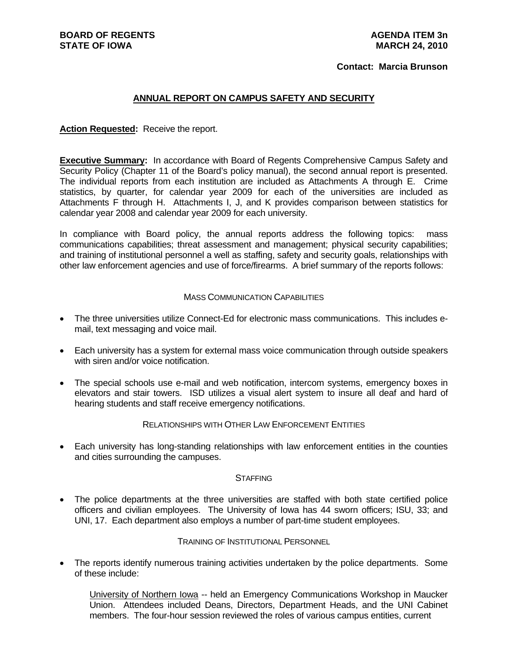### **Contact: Marcia Brunson**

#### **ANNUAL REPORT ON CAMPUS SAFETY AND SECURITY**

**Action Requested:** Receive the report.

**Executive Summary:** In accordance with Board of Regents Comprehensive Campus Safety and Security Policy (Chapter 11 of the Board's policy manual), the second annual report is presented. The individual reports from each institution are included as Attachments A through E. Crime statistics, by quarter, for calendar year 2009 for each of the universities are included as Attachments F through H. Attachments I, J, and K provides comparison between statistics for calendar year 2008 and calendar year 2009 for each university.

In compliance with Board policy, the annual reports address the following topics: mass communications capabilities; threat assessment and management; physical security capabilities; and training of institutional personnel a well as staffing, safety and security goals, relationships with other law enforcement agencies and use of force/firearms. A brief summary of the reports follows:

#### MASS COMMUNICATION CAPABILITIES

- The three universities utilize Connect-Ed for electronic mass communications. This includes email, text messaging and voice mail.
- Each university has a system for external mass voice communication through outside speakers with siren and/or voice notification.
- The special schools use e-mail and web notification, intercom systems, emergency boxes in elevators and stair towers. ISD utilizes a visual alert system to insure all deaf and hard of hearing students and staff receive emergency notifications.

#### RELATIONSHIPS WITH OTHER LAW ENFORCEMENT ENTITIES

 Each university has long-standing relationships with law enforcement entities in the counties and cities surrounding the campuses.

#### **STAFFING**

 The police departments at the three universities are staffed with both state certified police officers and civilian employees. The University of Iowa has 44 sworn officers; ISU, 33; and UNI, 17. Each department also employs a number of part-time student employees.

#### TRAINING OF INSTITUTIONAL PERSONNEL

 The reports identify numerous training activities undertaken by the police departments. Some of these include:

University of Northern Iowa -- held an Emergency Communications Workshop in Maucker Union. Attendees included Deans, Directors, Department Heads, and the UNI Cabinet members. The four-hour session reviewed the roles of various campus entities, current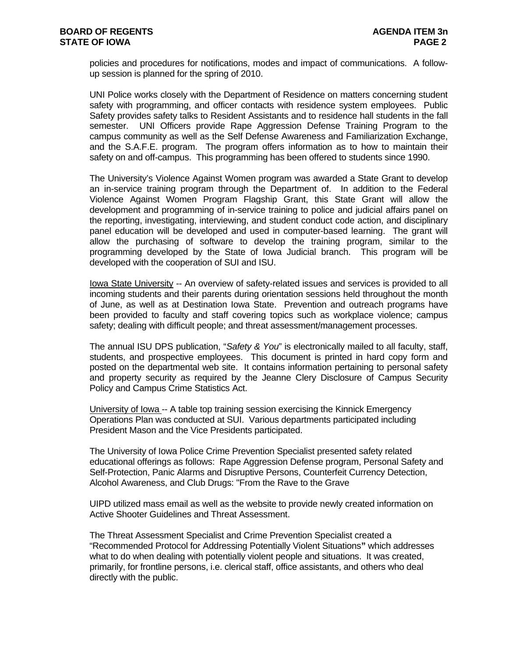policies and procedures for notifications, modes and impact of communications. A followup session is planned for the spring of 2010.

UNI Police works closely with the Department of Residence on matters concerning student safety with programming, and officer contacts with residence system employees. Public Safety provides safety talks to Resident Assistants and to residence hall students in the fall semester. UNI Officers provide Rape Aggression Defense Training Program to the campus community as well as the Self Defense Awareness and Familiarization Exchange, and the S.A.F.E. program. The program offers information as to how to maintain their safety on and off-campus. This programming has been offered to students since 1990.

The University's Violence Against Women program was awarded a State Grant to develop an in-service training program through the Department of. In addition to the Federal Violence Against Women Program Flagship Grant, this State Grant will allow the development and programming of in-service training to police and judicial affairs panel on the reporting, investigating, interviewing, and student conduct code action, and disciplinary panel education will be developed and used in computer-based learning. The grant will allow the purchasing of software to develop the training program, similar to the programming developed by the State of Iowa Judicial branch. This program will be developed with the cooperation of SUI and ISU.

Iowa State University -- An overview of safety-related issues and services is provided to all incoming students and their parents during orientation sessions held throughout the month of June, as well as at Destination Iowa State. Prevention and outreach programs have been provided to faculty and staff covering topics such as workplace violence; campus safety; dealing with difficult people; and threat assessment/management processes.

The annual ISU DPS publication, "*Safety & You*" is electronically mailed to all faculty, staff, students, and prospective employees. This document is printed in hard copy form and posted on the departmental web site. It contains information pertaining to personal safety and property security as required by the Jeanne Clery Disclosure of Campus Security Policy and Campus Crime Statistics Act.

University of Iowa -- A table top training session exercising the Kinnick Emergency Operations Plan was conducted at SUI. Various departments participated including President Mason and the Vice Presidents participated.

The University of Iowa Police Crime Prevention Specialist presented safety related educational offerings as follows: Rape Aggression Defense program, Personal Safety and Self-Protection, Panic Alarms and Disruptive Persons, Counterfeit Currency Detection, Alcohol Awareness, and Club Drugs: "From the Rave to the Grave

UIPD utilized mass email as well as the website to provide newly created information on Active Shooter Guidelines and Threat Assessment.

The Threat Assessment Specialist and Crime Prevention Specialist created a "Recommended Protocol for Addressing Potentially Violent Situations**"** which addresses what to do when dealing with potentially violent people and situations. It was created, primarily, for frontline persons, i.e. clerical staff, office assistants, and others who deal directly with the public.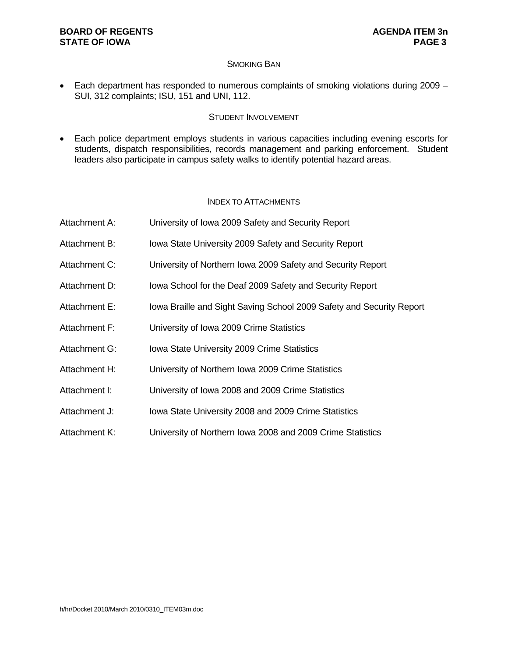### **BOARD OF REGENTS AGENUS AGENDA ITEM 3n STATE OF IOWA** PAGE 3

### SMOKING BAN

 Each department has responded to numerous complaints of smoking violations during 2009 – SUI, 312 complaints; ISU, 151 and UNI, 112.

### STUDENT INVOLVEMENT

 Each police department employs students in various capacities including evening escorts for students, dispatch responsibilities, records management and parking enforcement. Student leaders also participate in campus safety walks to identify potential hazard areas.

### INDEX TO ATTACHMENTS

| Attachment A: | University of Iowa 2009 Safety and Security Report                   |
|---------------|----------------------------------------------------------------------|
| Attachment B: | Iowa State University 2009 Safety and Security Report                |
| Attachment C: | University of Northern Iowa 2009 Safety and Security Report          |
| Attachment D: | lowa School for the Deaf 2009 Safety and Security Report             |
| Attachment E: | lowa Braille and Sight Saving School 2009 Safety and Security Report |
| Attachment F: | University of Iowa 2009 Crime Statistics                             |
| Attachment G: | Iowa State University 2009 Crime Statistics                          |
| Attachment H: | University of Northern Iowa 2009 Crime Statistics                    |
| Attachment I: | University of Iowa 2008 and 2009 Crime Statistics                    |
| Attachment J: | Iowa State University 2008 and 2009 Crime Statistics                 |
| Attachment K: | University of Northern Iowa 2008 and 2009 Crime Statistics           |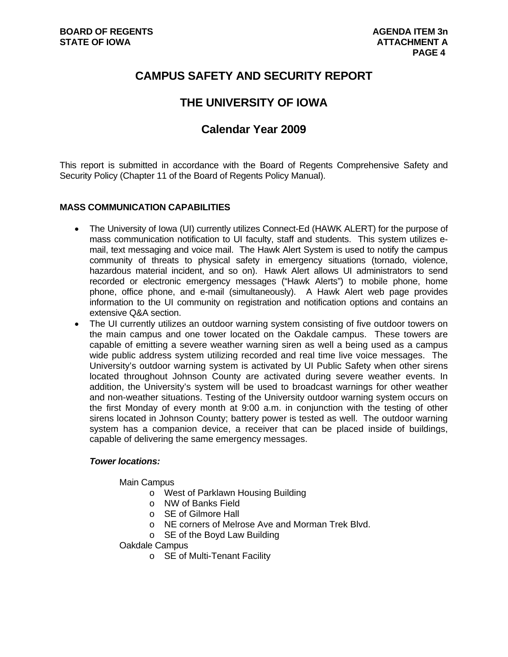# **CAMPUS SAFETY AND SECURITY REPORT**

# **THE UNIVERSITY OF IOWA**

# **Calendar Year 2009**

This report is submitted in accordance with the Board of Regents Comprehensive Safety and Security Policy (Chapter 11 of the Board of Regents Policy Manual).

# **MASS COMMUNICATION CAPABILITIES**

- The University of Iowa (UI) currently utilizes Connect-Ed (HAWK ALERT) for the purpose of mass communication notification to UI faculty, staff and students. This system utilizes email, text messaging and voice mail. The Hawk Alert System is used to notify the campus community of threats to physical safety in emergency situations (tornado, violence, hazardous material incident, and so on). Hawk Alert allows UI administrators to send recorded or electronic emergency messages ("Hawk Alerts") to mobile phone, home phone, office phone, and e-mail (simultaneously). A Hawk Alert web page provides information to the UI community on registration and notification options and contains an extensive Q&A section.
- The UI currently utilizes an outdoor warning system consisting of five outdoor towers on the main campus and one tower located on the Oakdale campus. These towers are capable of emitting a severe weather warning siren as well a being used as a campus wide public address system utilizing recorded and real time live voice messages. The University's outdoor warning system is activated by UI Public Safety when other sirens located throughout Johnson County are activated during severe weather events. In addition, the University's system will be used to broadcast warnings for other weather and non-weather situations. Testing of the University outdoor warning system occurs on the first Monday of every month at 9:00 a.m. in conjunction with the testing of other sirens located in Johnson County; battery power is tested as well. The outdoor warning system has a companion device, a receiver that can be placed inside of buildings, capable of delivering the same emergency messages.

### *Tower locations:*

Main Campus

- o West of Parklawn Housing Building
- o NW of Banks Field
- o SE of Gilmore Hall
- o NE corners of Melrose Ave and Morman Trek Blvd.
- o SE of the Boyd Law Building

Oakdale Campus

o SE of Multi-Tenant Facility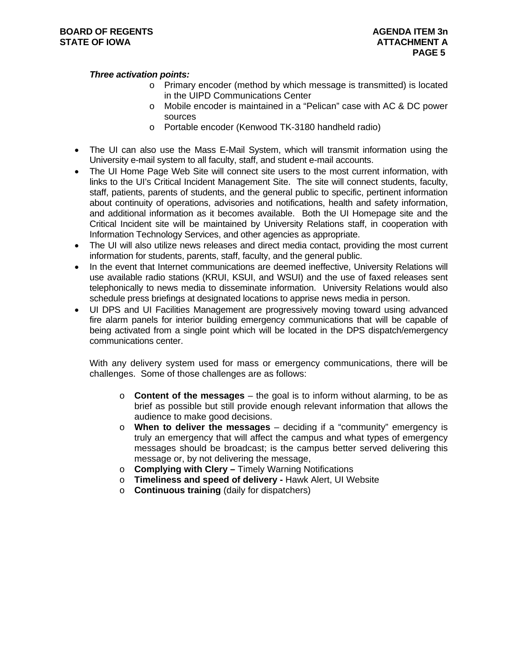#### *Three activation points:*

- o Primary encoder (method by which message is transmitted) is located in the UIPD Communications Center
- o Mobile encoder is maintained in a "Pelican" case with AC & DC power sources
- o Portable encoder (Kenwood TK-3180 handheld radio)
- The UI can also use the Mass E-Mail System, which will transmit information using the University e-mail system to all faculty, staff, and student e-mail accounts.
- The UI Home Page Web Site will connect site users to the most current information, with links to the UI's Critical Incident Management Site. The site will connect students, faculty, staff, patients, parents of students, and the general public to specific, pertinent information about continuity of operations, advisories and notifications, health and safety information, and additional information as it becomes available. Both the UI Homepage site and the Critical Incident site will be maintained by University Relations staff, in cooperation with Information Technology Services, and other agencies as appropriate.
- The UI will also utilize news releases and direct media contact, providing the most current information for students, parents, staff, faculty, and the general public.
- In the event that Internet communications are deemed ineffective, University Relations will use available radio stations (KRUI, KSUI, and WSUI) and the use of faxed releases sent telephonically to news media to disseminate information. University Relations would also schedule press briefings at designated locations to apprise news media in person.
- UI DPS and UI Facilities Management are progressively moving toward using advanced fire alarm panels for interior building emergency communications that will be capable of being activated from a single point which will be located in the DPS dispatch/emergency communications center.

With any delivery system used for mass or emergency communications, there will be challenges. Some of those challenges are as follows:

- o **Content of the messages** the goal is to inform without alarming, to be as brief as possible but still provide enough relevant information that allows the audience to make good decisions.
- o **When to deliver the messages** deciding if a "community" emergency is truly an emergency that will affect the campus and what types of emergency messages should be broadcast; is the campus better served delivering this message or, by not delivering the message,
- o **Complying with Clery** Timely Warning Notifications
- o **Timeliness and speed of delivery** Hawk Alert, UI Website
- o **Continuous training** (daily for dispatchers)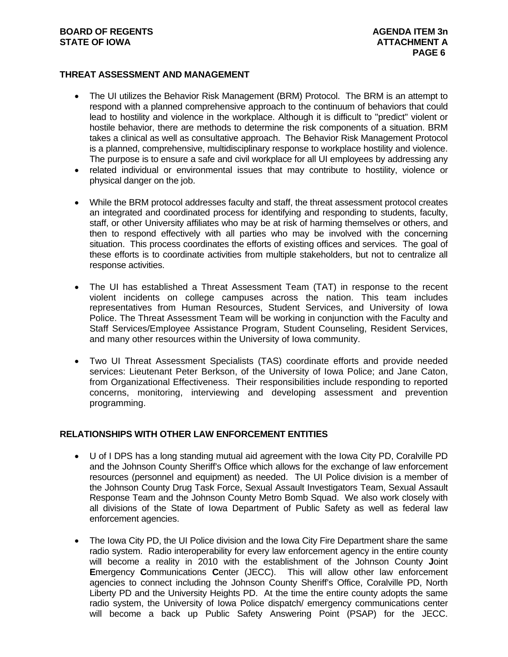### **BOARD OF REGENTS AGENUS AGENDA ITEM 3n STATE OF IOWA ATTACHMENT A**

### **THREAT ASSESSMENT AND MANAGEMENT**

- The UI utilizes the Behavior Risk Management (BRM) Protocol. The BRM is an attempt to respond with a planned comprehensive approach to the continuum of behaviors that could lead to hostility and violence in the workplace. Although it is difficult to "predict" violent or hostile behavior, there are methods to determine the risk components of a situation. BRM takes a clinical as well as consultative approach. The Behavior Risk Management Protocol is a planned, comprehensive, multidisciplinary response to workplace hostility and violence. The purpose is to ensure a safe and civil workplace for all UI employees by addressing any
- related individual or environmental issues that may contribute to hostility, violence or physical danger on the job.
- While the BRM protocol addresses faculty and staff, the threat assessment protocol creates an integrated and coordinated process for identifying and responding to students, faculty, staff, or other University affiliates who may be at risk of harming themselves or others, and then to respond effectively with all parties who may be involved with the concerning situation. This process coordinates the efforts of existing offices and services. The goal of these efforts is to coordinate activities from multiple stakeholders, but not to centralize all response activities.
- The UI has established a Threat Assessment Team (TAT) in response to the recent violent incidents on college campuses across the nation. This team includes representatives from Human Resources, Student Services, and University of Iowa Police. The Threat Assessment Team will be working in conjunction with the Faculty and Staff Services/Employee Assistance Program, Student Counseling, Resident Services, and many other resources within the University of Iowa community.
- Two UI Threat Assessment Specialists (TAS) coordinate efforts and provide needed services: Lieutenant Peter Berkson, of the University of Iowa Police; and Jane Caton, from Organizational Effectiveness. Their responsibilities include responding to reported concerns, monitoring, interviewing and developing assessment and prevention programming.

# **RELATIONSHIPS WITH OTHER LAW ENFORCEMENT ENTITIES**

- U of I DPS has a long standing mutual aid agreement with the Iowa City PD, Coralville PD and the Johnson County Sheriff's Office which allows for the exchange of law enforcement resources (personnel and equipment) as needed. The UI Police division is a member of the Johnson County Drug Task Force, Sexual Assault Investigators Team, Sexual Assault Response Team and the Johnson County Metro Bomb Squad. We also work closely with all divisions of the State of Iowa Department of Public Safety as well as federal law enforcement agencies.
- The Iowa City PD, the UI Police division and the Iowa City Fire Department share the same radio system. Radio interoperability for every law enforcement agency in the entire county will become a reality in 2010 with the establishment of the Johnson County **J**oint **E**mergency **C**ommunications **C**enter (JECC). This will allow other law enforcement agencies to connect including the Johnson County Sheriff's Office, Coralville PD, North Liberty PD and the University Heights PD. At the time the entire county adopts the same radio system, the University of Iowa Police dispatch/ emergency communications center will become a back up Public Safety Answering Point (PSAP) for the JECC.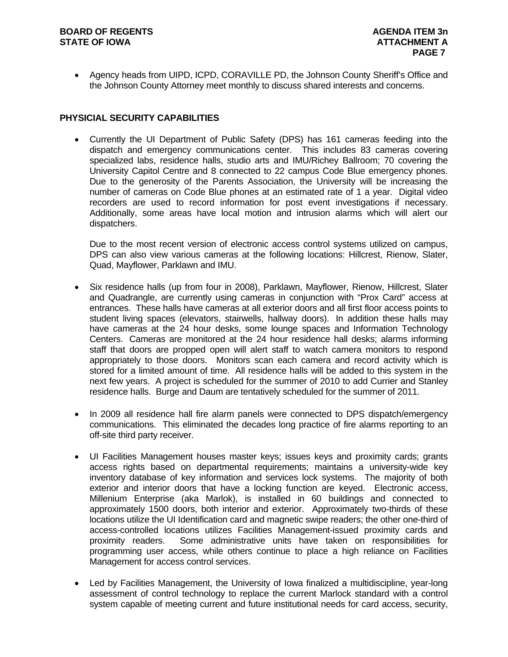#### **BOARD OF REGENTS AGENUS AGENDA ITEM 3n STATE OF IOWA ATTACHMENT A**

 Agency heads from UIPD, ICPD, CORAVILLE PD, the Johnson County Sheriff's Office and the Johnson County Attorney meet monthly to discuss shared interests and concerns.

### **PHYSICIAL SECURITY CAPABILITIES**

 Currently the UI Department of Public Safety (DPS) has 161 cameras feeding into the dispatch and emergency communications center. This includes 83 cameras covering specialized labs, residence halls, studio arts and IMU/Richey Ballroom; 70 covering the University Capitol Centre and 8 connected to 22 campus Code Blue emergency phones. Due to the generosity of the Parents Association, the University will be increasing the number of cameras on Code Blue phones at an estimated rate of 1 a year. Digital video recorders are used to record information for post event investigations if necessary. Additionally, some areas have local motion and intrusion alarms which will alert our dispatchers.

Due to the most recent version of electronic access control systems utilized on campus, DPS can also view various cameras at the following locations: Hillcrest, Rienow, Slater, Quad, Mayflower, Parklawn and IMU.

- Six residence halls (up from four in 2008), Parklawn, Mayflower, Rienow, Hillcrest, Slater and Quadrangle, are currently using cameras in conjunction with "Prox Card" access at entrances. These halls have cameras at all exterior doors and all first floor access points to student living spaces (elevators, stairwells, hallway doors). In addition these halls may have cameras at the 24 hour desks, some lounge spaces and Information Technology Centers. Cameras are monitored at the 24 hour residence hall desks; alarms informing staff that doors are propped open will alert staff to watch camera monitors to respond appropriately to those doors. Monitors scan each camera and record activity which is stored for a limited amount of time. All residence halls will be added to this system in the next few years. A project is scheduled for the summer of 2010 to add Currier and Stanley residence halls. Burge and Daum are tentatively scheduled for the summer of 2011.
- In 2009 all residence hall fire alarm panels were connected to DPS dispatch/emergency communications. This eliminated the decades long practice of fire alarms reporting to an off-site third party receiver.
- UI Facilities Management houses master keys; issues keys and proximity cards; grants access rights based on departmental requirements; maintains a university-wide key inventory database of key information and services lock systems. The majority of both exterior and interior doors that have a locking function are keyed. Electronic access, Millenium Enterprise (aka Marlok), is installed in 60 buildings and connected to approximately 1500 doors, both interior and exterior. Approximately two-thirds of these locations utilize the UI Identification card and magnetic swipe readers; the other one-third of access-controlled locations utilizes Facilities Management-issued proximity cards and proximity readers. Some administrative units have taken on responsibilities for programming user access, while others continue to place a high reliance on Facilities Management for access control services.
- Led by Facilities Management, the University of Iowa finalized a multidiscipline, year-long assessment of control technology to replace the current Marlock standard with a control system capable of meeting current and future institutional needs for card access, security,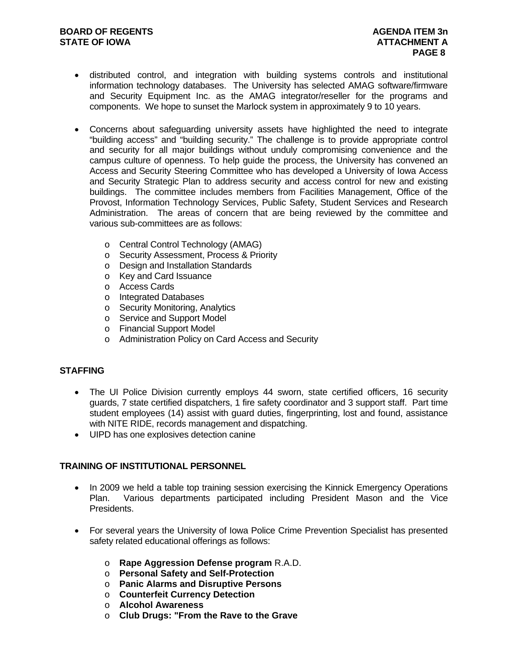- distributed control, and integration with building systems controls and institutional information technology databases. The University has selected AMAG software/firmware and Security Equipment Inc. as the AMAG integrator/reseller for the programs and components. We hope to sunset the Marlock system in approximately 9 to 10 years.
- Concerns about safeguarding university assets have highlighted the need to integrate "building access" and "building security." The challenge is to provide appropriate control and security for all major buildings without unduly compromising convenience and the campus culture of openness. To help guide the process, the University has convened an Access and Security Steering Committee who has developed a University of Iowa Access and Security Strategic Plan to address security and access control for new and existing buildings. The committee includes members from Facilities Management, Office of the Provost, Information Technology Services, Public Safety, Student Services and Research Administration. The areas of concern that are being reviewed by the committee and various sub-committees are as follows:
	- o Central Control Technology (AMAG)
	- o Security Assessment, Process & Priority
	- o Design and Installation Standards
	- o Key and Card Issuance
	- o Access Cards
	- o Integrated Databases
	- o Security Monitoring, Analytics
	- o Service and Support Model
	- o Financial Support Model
	- o Administration Policy on Card Access and Security

#### **STAFFING**

- The UI Police Division currently employs 44 sworn, state certified officers, 16 security guards, 7 state certified dispatchers, 1 fire safety coordinator and 3 support staff. Part time student employees (14) assist with guard duties, fingerprinting, lost and found, assistance with NITE RIDE, records management and dispatching.
- UIPD has one explosives detection canine

# **TRAINING OF INSTITUTIONAL PERSONNEL**

- In 2009 we held a table top training session exercising the Kinnick Emergency Operations Plan. Various departments participated including President Mason and the Vice Presidents.
- For several years the University of Iowa Police Crime Prevention Specialist has presented safety related educational offerings as follows:
	- o **Rape Aggression Defense program** R.A.D.
	- o **Personal Safety and Self-Protection**
	- o **Panic Alarms and Disruptive Persons**
	- o **Counterfeit Currency Detection**
	- o **Alcohol Awareness**
	- o **Club Drugs: "From the Rave to the Grave**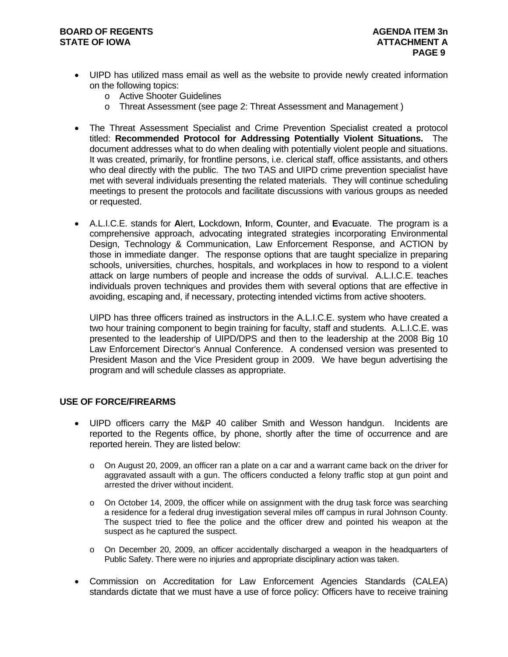#### **BOARD OF REGENTS AGENUS AGENDA ITEM 3n STATE OF IOWA ATTACHMENT A**

- UIPD has utilized mass email as well as the website to provide newly created information on the following topics:
	- o Active Shooter Guidelines
	- o Threat Assessment (see page 2: Threat Assessment and Management )
- The Threat Assessment Specialist and Crime Prevention Specialist created a protocol titled: **Recommended Protocol for Addressing Potentially Violent Situations.** The document addresses what to do when dealing with potentially violent people and situations. It was created, primarily, for frontline persons, i.e. clerical staff, office assistants, and others who deal directly with the public. The two TAS and UIPD crime prevention specialist have met with several individuals presenting the related materials. They will continue scheduling meetings to present the protocols and facilitate discussions with various groups as needed or requested.
- A.L.I.C.E. stands for **A**lert, **L**ockdown, **I**nform, **C**ounter, and **E**vacuate. The program is a comprehensive approach, advocating integrated strategies incorporating Environmental Design, Technology & Communication, Law Enforcement Response, and ACTION by those in immediate danger. The response options that are taught specialize in preparing schools, universities, churches, hospitals, and workplaces in how to respond to a violent attack on large numbers of people and increase the odds of survival. A.L.I.C.E. teaches individuals proven techniques and provides them with several options that are effective in avoiding, escaping and, if necessary, protecting intended victims from active shooters.

UIPD has three officers trained as instructors in the A.L.I.C.E. system who have created a two hour training component to begin training for faculty, staff and students. A.L.I.C.E. was presented to the leadership of UIPD/DPS and then to the leadership at the 2008 Big 10 Law Enforcement Director's Annual Conference. A condensed version was presented to President Mason and the Vice President group in 2009. We have begun advertising the program and will schedule classes as appropriate.

### **USE OF FORCE/FIREARMS**

- UIPD officers carry the M&P 40 caliber Smith and Wesson handgun. Incidents are reported to the Regents office, by phone, shortly after the time of occurrence and are reported herein. They are listed below:
	- o On August 20, 2009, an officer ran a plate on a car and a warrant came back on the driver for aggravated assault with a gun. The officers conducted a felony traffic stop at gun point and arrested the driver without incident.
	- $\circ$  On October 14, 2009, the officer while on assignment with the drug task force was searching a residence for a federal drug investigation several miles off campus in rural Johnson County. The suspect tried to flee the police and the officer drew and pointed his weapon at the suspect as he captured the suspect.
	- o On December 20, 2009, an officer accidentally discharged a weapon in the headquarters of Public Safety. There were no injuries and appropriate disciplinary action was taken.
- Commission on Accreditation for Law Enforcement Agencies Standards (CALEA) standards dictate that we must have a use of force policy: Officers have to receive training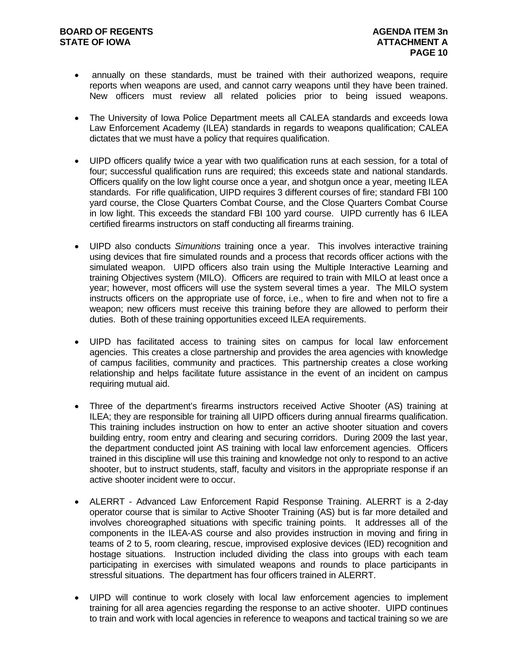- annually on these standards, must be trained with their authorized weapons, require reports when weapons are used, and cannot carry weapons until they have been trained. New officers must review all related policies prior to being issued weapons.
- The University of Iowa Police Department meets all CALEA standards and exceeds Iowa Law Enforcement Academy (ILEA) standards in regards to weapons qualification; CALEA dictates that we must have a policy that requires qualification.
- UIPD officers qualify twice a year with two qualification runs at each session, for a total of four; successful qualification runs are required; this exceeds state and national standards. Officers qualify on the low light course once a year, and shotgun once a year, meeting ILEA standards. For rifle qualification, UIPD requires 3 different courses of fire; standard FBI 100 yard course, the Close Quarters Combat Course, and the Close Quarters Combat Course in low light. This exceeds the standard FBI 100 yard course. UIPD currently has 6 ILEA certified firearms instructors on staff conducting all firearms training.
- UIPD also conducts *Simunitions* training once a year. This involves interactive training using devices that fire simulated rounds and a process that records officer actions with the simulated weapon. UIPD officers also train using the Multiple Interactive Learning and training Objectives system (MILO). Officers are required to train with MILO at least once a year; however, most officers will use the system several times a year. The MILO system instructs officers on the appropriate use of force, i.e., when to fire and when not to fire a weapon; new officers must receive this training before they are allowed to perform their duties. Both of these training opportunities exceed ILEA requirements.
- UIPD has facilitated access to training sites on campus for local law enforcement agencies. This creates a close partnership and provides the area agencies with knowledge of campus facilities, community and practices. This partnership creates a close working relationship and helps facilitate future assistance in the event of an incident on campus requiring mutual aid.
- Three of the department's firearms instructors received Active Shooter (AS) training at ILEA; they are responsible for training all UIPD officers during annual firearms qualification. This training includes instruction on how to enter an active shooter situation and covers building entry, room entry and clearing and securing corridors. During 2009 the last year, the department conducted joint AS training with local law enforcement agencies. Officers trained in this discipline will use this training and knowledge not only to respond to an active shooter, but to instruct students, staff, faculty and visitors in the appropriate response if an active shooter incident were to occur.
- ALERRT Advanced Law Enforcement Rapid Response Training. ALERRT is a 2-day operator course that is similar to Active Shooter Training (AS) but is far more detailed and involves choreographed situations with specific training points. It addresses all of the components in the ILEA-AS course and also provides instruction in moving and firing in teams of 2 to 5, room clearing, rescue, improvised explosive devices (IED) recognition and hostage situations. Instruction included dividing the class into groups with each team participating in exercises with simulated weapons and rounds to place participants in stressful situations. The department has four officers trained in ALERRT.
- UIPD will continue to work closely with local law enforcement agencies to implement training for all area agencies regarding the response to an active shooter. UIPD continues to train and work with local agencies in reference to weapons and tactical training so we are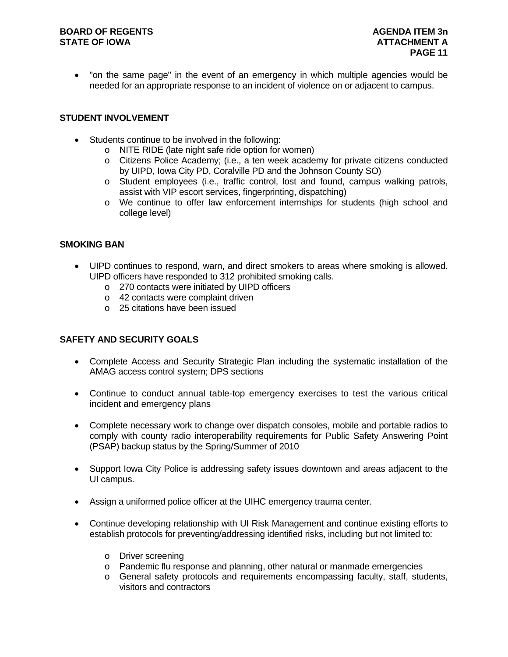### **BOARD OF REGENTS AGENUS AGENDA ITEM 3n STATE OF IOWA ATTACHMENT A**

 "on the same page" in the event of an emergency in which multiple agencies would be needed for an appropriate response to an incident of violence on or adjacent to campus.

# **STUDENT INVOLVEMENT**

- Students continue to be involved in the following:
	- o NITE RIDE (late night safe ride option for women)
	- o Citizens Police Academy; (i.e., a ten week academy for private citizens conducted by UIPD, Iowa City PD, Coralville PD and the Johnson County SO)
	- o Student employees (i.e., traffic control, lost and found, campus walking patrols, assist with VIP escort services, fingerprinting, dispatching)
	- o We continue to offer law enforcement internships for students (high school and college level)

# **SMOKING BAN**

- UIPD continues to respond, warn, and direct smokers to areas where smoking is allowed. UIPD officers have responded to 312 prohibited smoking calls.
	- o 270 contacts were initiated by UIPD officers
	- o 42 contacts were complaint driven
	- o 25 citations have been issued

# **SAFETY AND SECURITY GOALS**

- Complete Access and Security Strategic Plan including the systematic installation of the AMAG access control system; DPS sections
- Continue to conduct annual table-top emergency exercises to test the various critical incident and emergency plans
- Complete necessary work to change over dispatch consoles, mobile and portable radios to comply with county radio interoperability requirements for Public Safety Answering Point (PSAP) backup status by the Spring/Summer of 2010
- Support Iowa City Police is addressing safety issues downtown and areas adjacent to the UI campus.
- Assign a uniformed police officer at the UIHC emergency trauma center.
- Continue developing relationship with UI Risk Management and continue existing efforts to establish protocols for preventing/addressing identified risks, including but not limited to:
	- o Driver screening
	- o Pandemic flu response and planning, other natural or manmade emergencies
	- o General safety protocols and requirements encompassing faculty, staff, students, visitors and contractors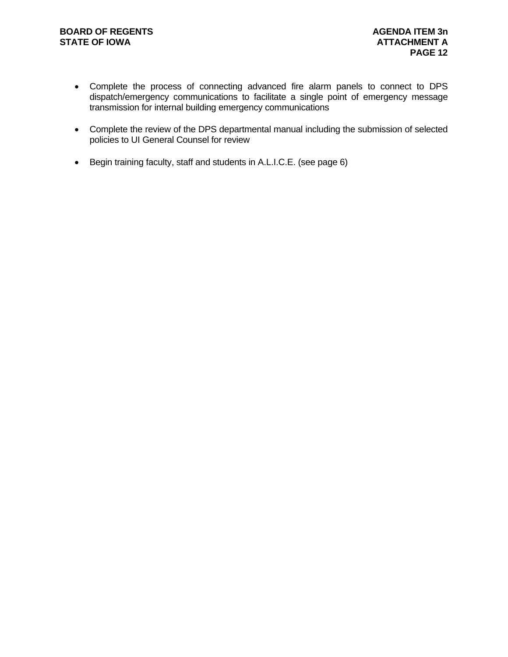- Complete the process of connecting advanced fire alarm panels to connect to DPS dispatch/emergency communications to facilitate a single point of emergency message transmission for internal building emergency communications
- Complete the review of the DPS departmental manual including the submission of selected policies to UI General Counsel for review
- Begin training faculty, staff and students in A.L.I.C.E. (see page 6)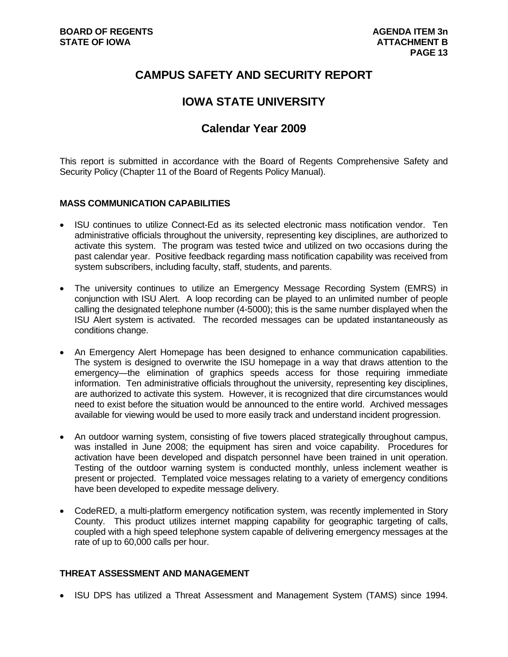# **CAMPUS SAFETY AND SECURITY REPORT**

# **IOWA STATE UNIVERSITY**

# **Calendar Year 2009**

This report is submitted in accordance with the Board of Regents Comprehensive Safety and Security Policy (Chapter 11 of the Board of Regents Policy Manual).

# **MASS COMMUNICATION CAPABILITIES**

- ISU continues to utilize Connect-Ed as its selected electronic mass notification vendor. Ten administrative officials throughout the university, representing key disciplines, are authorized to activate this system. The program was tested twice and utilized on two occasions during the past calendar year. Positive feedback regarding mass notification capability was received from system subscribers, including faculty, staff, students, and parents.
- The university continues to utilize an Emergency Message Recording System (EMRS) in conjunction with ISU Alert. A loop recording can be played to an unlimited number of people calling the designated telephone number (4-5000); this is the same number displayed when the ISU Alert system is activated. The recorded messages can be updated instantaneously as conditions change.
- An Emergency Alert Homepage has been designed to enhance communication capabilities. The system is designed to overwrite the ISU homepage in a way that draws attention to the emergency—the elimination of graphics speeds access for those requiring immediate information. Ten administrative officials throughout the university, representing key disciplines, are authorized to activate this system. However, it is recognized that dire circumstances would need to exist before the situation would be announced to the entire world. Archived messages available for viewing would be used to more easily track and understand incident progression.
- An outdoor warning system, consisting of five towers placed strategically throughout campus, was installed in June 2008; the equipment has siren and voice capability. Procedures for activation have been developed and dispatch personnel have been trained in unit operation. Testing of the outdoor warning system is conducted monthly, unless inclement weather is present or projected. Templated voice messages relating to a variety of emergency conditions have been developed to expedite message delivery.
- CodeRED, a multi-platform emergency notification system, was recently implemented in Story County. This product utilizes internet mapping capability for geographic targeting of calls, coupled with a high speed telephone system capable of delivering emergency messages at the rate of up to 60,000 calls per hour.

#### **THREAT ASSESSMENT AND MANAGEMENT**

• ISU DPS has utilized a Threat Assessment and Management System (TAMS) since 1994.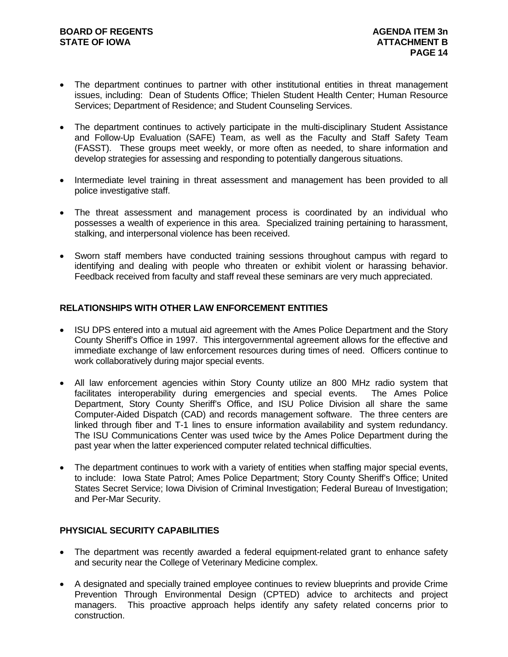- The department continues to partner with other institutional entities in threat management issues, including: Dean of Students Office; Thielen Student Health Center; Human Resource Services; Department of Residence; and Student Counseling Services.
- The department continues to actively participate in the multi-disciplinary Student Assistance and Follow-Up Evaluation (SAFE) Team, as well as the Faculty and Staff Safety Team (FASST). These groups meet weekly, or more often as needed, to share information and develop strategies for assessing and responding to potentially dangerous situations.
- Intermediate level training in threat assessment and management has been provided to all police investigative staff.
- The threat assessment and management process is coordinated by an individual who possesses a wealth of experience in this area. Specialized training pertaining to harassment, stalking, and interpersonal violence has been received.
- Sworn staff members have conducted training sessions throughout campus with regard to identifying and dealing with people who threaten or exhibit violent or harassing behavior. Feedback received from faculty and staff reveal these seminars are very much appreciated.

# **RELATIONSHIPS WITH OTHER LAW ENFORCEMENT ENTITIES**

- ISU DPS entered into a mutual aid agreement with the Ames Police Department and the Story County Sheriff's Office in 1997. This intergovernmental agreement allows for the effective and immediate exchange of law enforcement resources during times of need. Officers continue to work collaboratively during major special events.
- All law enforcement agencies within Story County utilize an 800 MHz radio system that facilitates interoperability during emergencies and special events. The Ames Police Department, Story County Sheriff's Office, and ISU Police Division all share the same Computer-Aided Dispatch (CAD) and records management software. The three centers are linked through fiber and T-1 lines to ensure information availability and system redundancy. The ISU Communications Center was used twice by the Ames Police Department during the past year when the latter experienced computer related technical difficulties.
- The department continues to work with a variety of entities when staffing major special events, to include: Iowa State Patrol; Ames Police Department; Story County Sheriff's Office; United States Secret Service; Iowa Division of Criminal Investigation; Federal Bureau of Investigation; and Per-Mar Security.

#### **PHYSICIAL SECURITY CAPABILITIES**

- The department was recently awarded a federal equipment-related grant to enhance safety and security near the College of Veterinary Medicine complex.
- A designated and specially trained employee continues to review blueprints and provide Crime Prevention Through Environmental Design (CPTED) advice to architects and project managers. This proactive approach helps identify any safety related concerns prior to construction.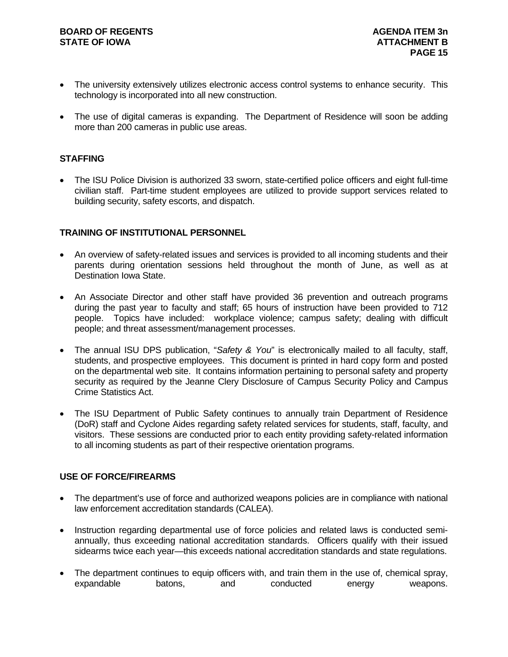- The university extensively utilizes electronic access control systems to enhance security. This technology is incorporated into all new construction.
- The use of digital cameras is expanding. The Department of Residence will soon be adding more than 200 cameras in public use areas.

### **STAFFING**

• The ISU Police Division is authorized 33 sworn, state-certified police officers and eight full-time civilian staff. Part-time student employees are utilized to provide support services related to building security, safety escorts, and dispatch.

### **TRAINING OF INSTITUTIONAL PERSONNEL**

- An overview of safety-related issues and services is provided to all incoming students and their parents during orientation sessions held throughout the month of June, as well as at Destination Iowa State.
- An Associate Director and other staff have provided 36 prevention and outreach programs during the past year to faculty and staff; 65 hours of instruction have been provided to 712 people. Topics have included: workplace violence; campus safety; dealing with difficult people; and threat assessment/management processes.
- The annual ISU DPS publication, "*Safety & You*" is electronically mailed to all faculty, staff, students, and prospective employees. This document is printed in hard copy form and posted on the departmental web site. It contains information pertaining to personal safety and property security as required by the Jeanne Clery Disclosure of Campus Security Policy and Campus Crime Statistics Act.
- The ISU Department of Public Safety continues to annually train Department of Residence (DoR) staff and Cyclone Aides regarding safety related services for students, staff, faculty, and visitors. These sessions are conducted prior to each entity providing safety-related information to all incoming students as part of their respective orientation programs.

# **USE OF FORCE/FIREARMS**

- The department's use of force and authorized weapons policies are in compliance with national law enforcement accreditation standards (CALEA).
- Instruction regarding departmental use of force policies and related laws is conducted semiannually, thus exceeding national accreditation standards. Officers qualify with their issued sidearms twice each year—this exceeds national accreditation standards and state regulations.
- The department continues to equip officers with, and train them in the use of, chemical spray, expandable batons, and conducted energy weapons.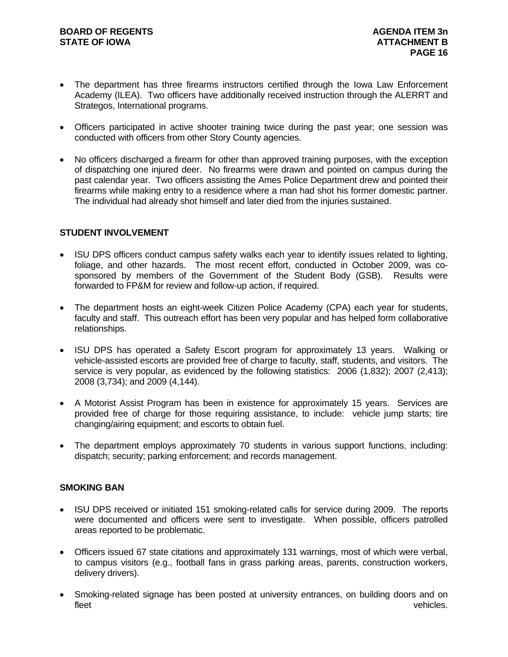- The department has three firearms instructors certified through the Iowa Law Enforcement Academy (ILEA). Two officers have additionally received instruction through the ALERRT and Strategos, International programs.
- Officers participated in active shooter training twice during the past year; one session was conducted with officers from other Story County agencies.
- No officers discharged a firearm for other than approved training purposes, with the exception of dispatching one injured deer. No firearms were drawn and pointed on campus during the past calendar year. Two officers assisting the Ames Police Department drew and pointed their firearms while making entry to a residence where a man had shot his former domestic partner. The individual had already shot himself and later died from the injuries sustained.

### **STUDENT INVOLVEMENT**

- ISU DPS officers conduct campus safety walks each year to identify issues related to lighting, foliage, and other hazards. The most recent effort, conducted in October 2009, was cosponsored by members of the Government of the Student Body (GSB). Results were forwarded to FP&M for review and follow-up action, if required.
- The department hosts an eight-week Citizen Police Academy (CPA) each year for students, faculty and staff. This outreach effort has been very popular and has helped form collaborative relationships.
- ISU DPS has operated a Safety Escort program for approximately 13 years. Walking or vehicle-assisted escorts are provided free of charge to faculty, staff, students, and visitors. The service is very popular, as evidenced by the following statistics: 2006 (1,832); 2007 (2,413); 2008 (3,734); and 2009 (4,144).
- A Motorist Assist Program has been in existence for approximately 15 years. Services are provided free of charge for those requiring assistance, to include: vehicle jump starts; tire changing/airing equipment; and escorts to obtain fuel.
- The department employs approximately 70 students in various support functions, including: dispatch; security; parking enforcement; and records management.

#### **SMOKING BAN**

- ISU DPS received or initiated 151 smoking-related calls for service during 2009. The reports were documented and officers were sent to investigate. When possible, officers patrolled areas reported to be problematic.
- Officers issued 67 state citations and approximately 131 warnings, most of which were verbal, to campus visitors (e.g., football fans in grass parking areas, parents, construction workers, delivery drivers).
- Smoking-related signage has been posted at university entrances, on building doors and on fleet vehicles.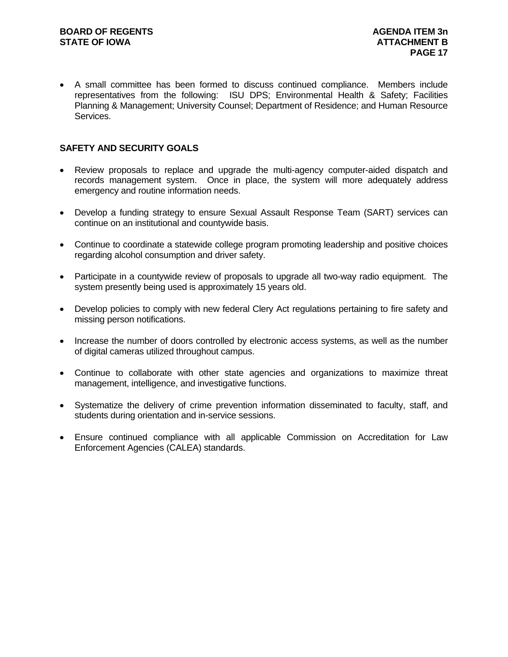A small committee has been formed to discuss continued compliance. Members include representatives from the following: ISU DPS; Environmental Health & Safety; Facilities Planning & Management; University Counsel; Department of Residence; and Human Resource Services.

### **SAFETY AND SECURITY GOALS**

- Review proposals to replace and upgrade the multi-agency computer-aided dispatch and records management system. Once in place, the system will more adequately address emergency and routine information needs.
- Develop a funding strategy to ensure Sexual Assault Response Team (SART) services can continue on an institutional and countywide basis.
- Continue to coordinate a statewide college program promoting leadership and positive choices regarding alcohol consumption and driver safety.
- Participate in a countywide review of proposals to upgrade all two-way radio equipment. The system presently being used is approximately 15 years old.
- Develop policies to comply with new federal Clery Act regulations pertaining to fire safety and missing person notifications.
- Increase the number of doors controlled by electronic access systems, as well as the number of digital cameras utilized throughout campus.
- Continue to collaborate with other state agencies and organizations to maximize threat management, intelligence, and investigative functions.
- Systematize the delivery of crime prevention information disseminated to faculty, staff, and students during orientation and in-service sessions.
- Ensure continued compliance with all applicable Commission on Accreditation for Law Enforcement Agencies (CALEA) standards.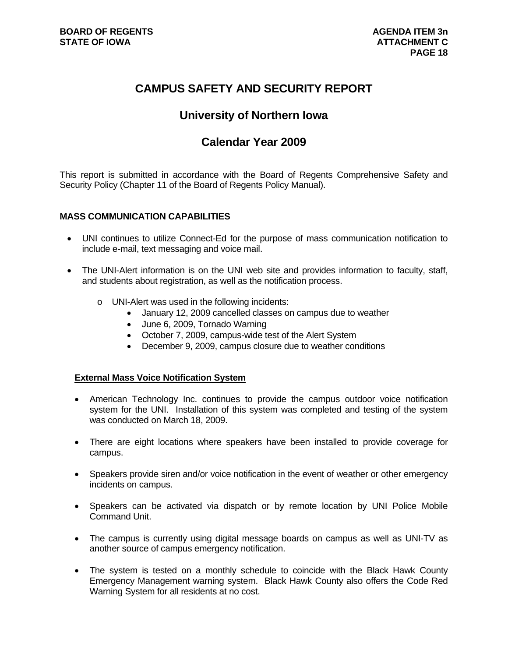# **CAMPUS SAFETY AND SECURITY REPORT**

# **University of Northern Iowa**

# **Calendar Year 2009**

This report is submitted in accordance with the Board of Regents Comprehensive Safety and Security Policy (Chapter 11 of the Board of Regents Policy Manual).

### **MASS COMMUNICATION CAPABILITIES**

- UNI continues to utilize Connect-Ed for the purpose of mass communication notification to include e-mail, text messaging and voice mail.
- The UNI-Alert information is on the UNI web site and provides information to faculty, staff, and students about registration, as well as the notification process.
	- o UNI-Alert was used in the following incidents:
		- January 12, 2009 cancelled classes on campus due to weather
		- June 6, 2009, Tornado Warning
		- October 7, 2009, campus-wide test of the Alert System
		- December 9, 2009, campus closure due to weather conditions

#### **External Mass Voice Notification System**

- American Technology Inc. continues to provide the campus outdoor voice notification system for the UNI. Installation of this system was completed and testing of the system was conducted on March 18, 2009.
- There are eight locations where speakers have been installed to provide coverage for campus.
- Speakers provide siren and/or voice notification in the event of weather or other emergency incidents on campus.
- Speakers can be activated via dispatch or by remote location by UNI Police Mobile Command Unit.
- The campus is currently using digital message boards on campus as well as UNI-TV as another source of campus emergency notification.
- The system is tested on a monthly schedule to coincide with the Black Hawk County Emergency Management warning system. Black Hawk County also offers the Code Red Warning System for all residents at no cost.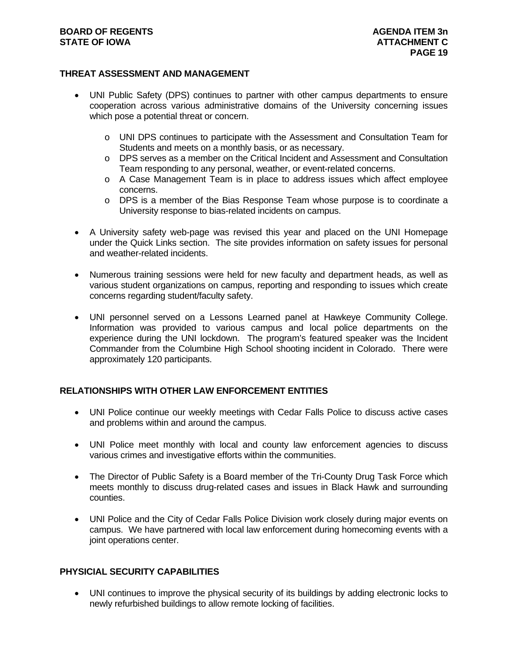### **BOARD OF REGENTS AGENUS AGENDA ITEM 3n STATE OF IOWA ATTACHMENT C ATTACHMENT C**

### **THREAT ASSESSMENT AND MANAGEMENT**

- UNI Public Safety (DPS) continues to partner with other campus departments to ensure cooperation across various administrative domains of the University concerning issues which pose a potential threat or concern.
	- o UNI DPS continues to participate with the Assessment and Consultation Team for Students and meets on a monthly basis, or as necessary.
	- o DPS serves as a member on the Critical Incident and Assessment and Consultation Team responding to any personal, weather, or event-related concerns.
	- o A Case Management Team is in place to address issues which affect employee concerns.
	- o DPS is a member of the Bias Response Team whose purpose is to coordinate a University response to bias-related incidents on campus.
- A University safety web-page was revised this year and placed on the UNI Homepage under the Quick Links section. The site provides information on safety issues for personal and weather-related incidents.
- Numerous training sessions were held for new faculty and department heads, as well as various student organizations on campus, reporting and responding to issues which create concerns regarding student/faculty safety.
- UNI personnel served on a Lessons Learned panel at Hawkeye Community College. Information was provided to various campus and local police departments on the experience during the UNI lockdown. The program's featured speaker was the Incident Commander from the Columbine High School shooting incident in Colorado. There were approximately 120 participants.

# **RELATIONSHIPS WITH OTHER LAW ENFORCEMENT ENTITIES**

- UNI Police continue our weekly meetings with Cedar Falls Police to discuss active cases and problems within and around the campus.
- UNI Police meet monthly with local and county law enforcement agencies to discuss various crimes and investigative efforts within the communities.
- The Director of Public Safety is a Board member of the Tri-County Drug Task Force which meets monthly to discuss drug-related cases and issues in Black Hawk and surrounding counties.
- UNI Police and the City of Cedar Falls Police Division work closely during major events on campus. We have partnered with local law enforcement during homecoming events with a joint operations center.

# **PHYSICIAL SECURITY CAPABILITIES**

 UNI continues to improve the physical security of its buildings by adding electronic locks to newly refurbished buildings to allow remote locking of facilities.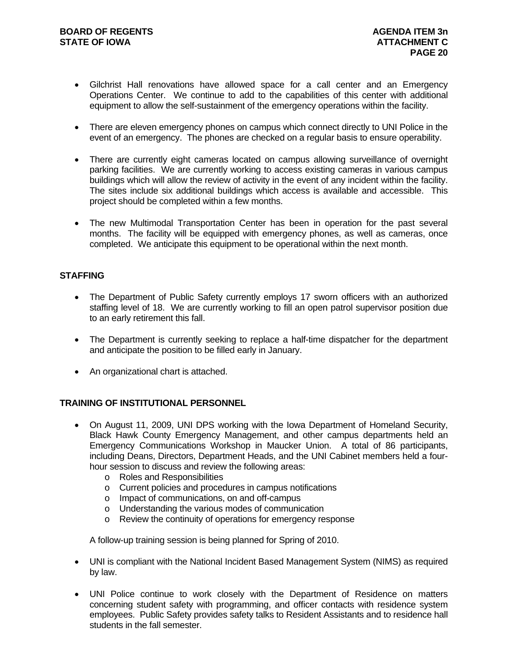- Gilchrist Hall renovations have allowed space for a call center and an Emergency Operations Center. We continue to add to the capabilities of this center with additional equipment to allow the self-sustainment of the emergency operations within the facility.
- There are eleven emergency phones on campus which connect directly to UNI Police in the event of an emergency. The phones are checked on a regular basis to ensure operability.
- There are currently eight cameras located on campus allowing surveillance of overnight parking facilities. We are currently working to access existing cameras in various campus buildings which will allow the review of activity in the event of any incident within the facility. The sites include six additional buildings which access is available and accessible. This project should be completed within a few months.
- The new Multimodal Transportation Center has been in operation for the past several months. The facility will be equipped with emergency phones, as well as cameras, once completed. We anticipate this equipment to be operational within the next month.

# **STAFFING**

- The Department of Public Safety currently employs 17 sworn officers with an authorized staffing level of 18. We are currently working to fill an open patrol supervisor position due to an early retirement this fall.
- The Department is currently seeking to replace a half-time dispatcher for the department and anticipate the position to be filled early in January.
- An organizational chart is attached.

# **TRAINING OF INSTITUTIONAL PERSONNEL**

- On August 11, 2009, UNI DPS working with the Iowa Department of Homeland Security, Black Hawk County Emergency Management, and other campus departments held an Emergency Communications Workshop in Maucker Union. A total of 86 participants, including Deans, Directors, Department Heads, and the UNI Cabinet members held a fourhour session to discuss and review the following areas:
	- o Roles and Responsibilities
	- o Current policies and procedures in campus notifications
	- o Impact of communications, on and off-campus
	- o Understanding the various modes of communication
	- o Review the continuity of operations for emergency response

A follow-up training session is being planned for Spring of 2010.

- UNI is compliant with the National Incident Based Management System (NIMS) as required by law.
- UNI Police continue to work closely with the Department of Residence on matters concerning student safety with programming, and officer contacts with residence system employees. Public Safety provides safety talks to Resident Assistants and to residence hall students in the fall semester.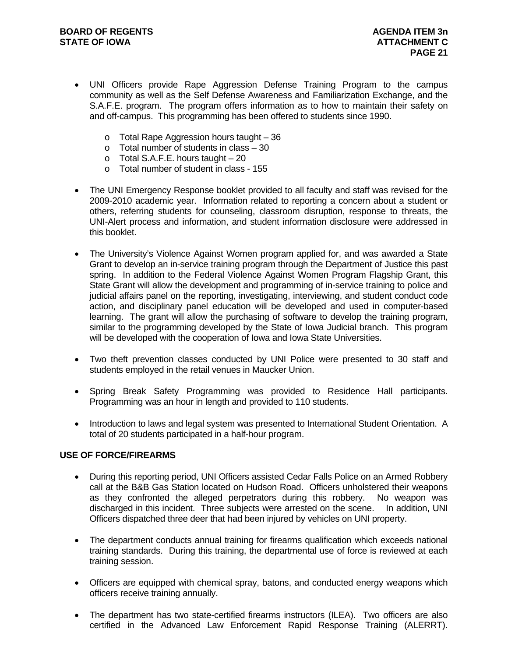- UNI Officers provide Rape Aggression Defense Training Program to the campus community as well as the Self Defense Awareness and Familiarization Exchange, and the S.A.F.E. program. The program offers information as to how to maintain their safety on and off-campus. This programming has been offered to students since 1990.
	- o Total Rape Aggression hours taught 36
	- $\circ$  Total number of students in class  $-30$
	- $\circ$  Total S.A.F.E. hours taught  $-20$
	- o Total number of student in class 155
- The UNI Emergency Response booklet provided to all faculty and staff was revised for the 2009-2010 academic year. Information related to reporting a concern about a student or others, referring students for counseling, classroom disruption, response to threats, the UNI-Alert process and information, and student information disclosure were addressed in this booklet.
- The University's Violence Against Women program applied for, and was awarded a State Grant to develop an in-service training program through the Department of Justice this past spring. In addition to the Federal Violence Against Women Program Flagship Grant, this State Grant will allow the development and programming of in-service training to police and judicial affairs panel on the reporting, investigating, interviewing, and student conduct code action, and disciplinary panel education will be developed and used in computer-based learning. The grant will allow the purchasing of software to develop the training program, similar to the programming developed by the State of Iowa Judicial branch. This program will be developed with the cooperation of Iowa and Iowa State Universities.
- Two theft prevention classes conducted by UNI Police were presented to 30 staff and students employed in the retail venues in Maucker Union.
- Spring Break Safety Programming was provided to Residence Hall participants. Programming was an hour in length and provided to 110 students.
- Introduction to laws and legal system was presented to International Student Orientation. A total of 20 students participated in a half-hour program.

#### **USE OF FORCE/FIREARMS**

- During this reporting period, UNI Officers assisted Cedar Falls Police on an Armed Robbery call at the B&B Gas Station located on Hudson Road. Officers unholstered their weapons as they confronted the alleged perpetrators during this robbery. No weapon was discharged in this incident. Three subjects were arrested on the scene. In addition, UNI Officers dispatched three deer that had been injured by vehicles on UNI property.
- The department conducts annual training for firearms qualification which exceeds national training standards. During this training, the departmental use of force is reviewed at each training session.
- Officers are equipped with chemical spray, batons, and conducted energy weapons which officers receive training annually.
- The department has two state-certified firearms instructors (ILEA). Two officers are also certified in the Advanced Law Enforcement Rapid Response Training (ALERRT).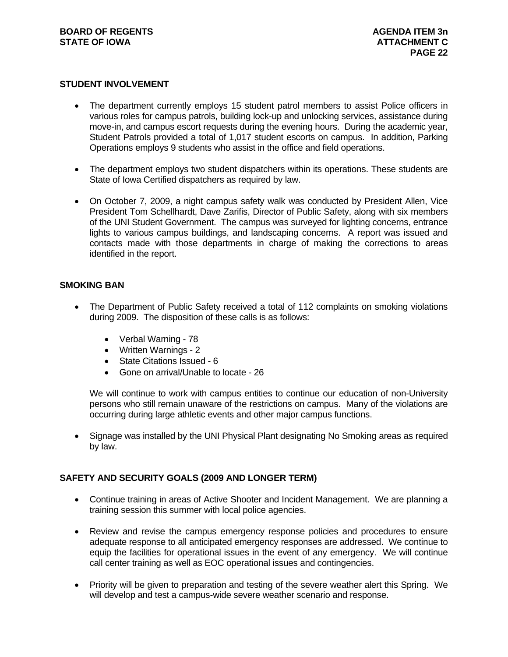#### **STUDENT INVOLVEMENT**

- The department currently employs 15 student patrol members to assist Police officers in various roles for campus patrols, building lock-up and unlocking services, assistance during move-in, and campus escort requests during the evening hours. During the academic year, Student Patrols provided a total of 1,017 student escorts on campus. In addition, Parking Operations employs 9 students who assist in the office and field operations.
- The department employs two student dispatchers within its operations. These students are State of Iowa Certified dispatchers as required by law.
- On October 7, 2009, a night campus safety walk was conducted by President Allen, Vice President Tom Schellhardt, Dave Zarifis, Director of Public Safety, along with six members of the UNI Student Government. The campus was surveyed for lighting concerns, entrance lights to various campus buildings, and landscaping concerns. A report was issued and contacts made with those departments in charge of making the corrections to areas identified in the report.

### **SMOKING BAN**

- The Department of Public Safety received a total of 112 complaints on smoking violations during 2009. The disposition of these calls is as follows:
	- Verbal Warning 78
	- Written Warnings 2
	- State Citations Issued 6
	- Gone on arrival/Unable to locate 26

We will continue to work with campus entities to continue our education of non-University persons who still remain unaware of the restrictions on campus. Many of the violations are occurring during large athletic events and other major campus functions.

 Signage was installed by the UNI Physical Plant designating No Smoking areas as required by law.

#### **SAFETY AND SECURITY GOALS (2009 AND LONGER TERM)**

- Continue training in areas of Active Shooter and Incident Management. We are planning a training session this summer with local police agencies.
- Review and revise the campus emergency response policies and procedures to ensure adequate response to all anticipated emergency responses are addressed. We continue to equip the facilities for operational issues in the event of any emergency. We will continue call center training as well as EOC operational issues and contingencies.
- Priority will be given to preparation and testing of the severe weather alert this Spring. We will develop and test a campus-wide severe weather scenario and response.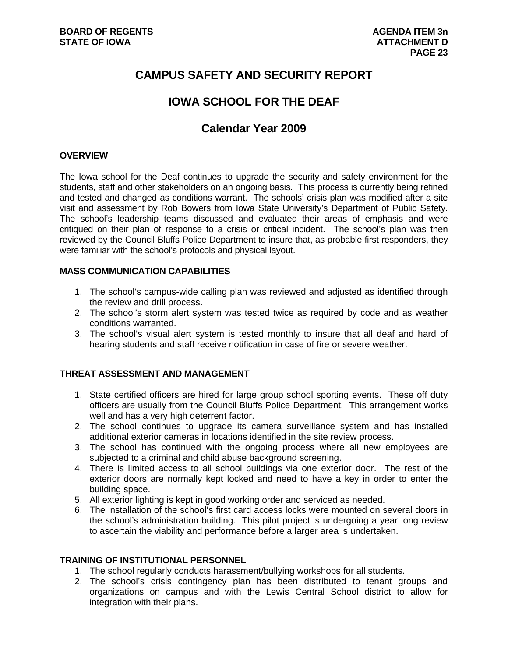# **CAMPUS SAFETY AND SECURITY REPORT**

# **IOWA SCHOOL FOR THE DEAF**

# **Calendar Year 2009**

### **OVERVIEW**

The Iowa school for the Deaf continues to upgrade the security and safety environment for the students, staff and other stakeholders on an ongoing basis. This process is currently being refined and tested and changed as conditions warrant. The schools' crisis plan was modified after a site visit and assessment by Rob Bowers from Iowa State University's Department of Public Safety. The school's leadership teams discussed and evaluated their areas of emphasis and were critiqued on their plan of response to a crisis or critical incident. The school's plan was then reviewed by the Council Bluffs Police Department to insure that, as probable first responders, they were familiar with the school's protocols and physical layout.

### **MASS COMMUNICATION CAPABILITIES**

- 1. The school's campus-wide calling plan was reviewed and adjusted as identified through the review and drill process.
- 2. The school's storm alert system was tested twice as required by code and as weather conditions warranted.
- 3. The school's visual alert system is tested monthly to insure that all deaf and hard of hearing students and staff receive notification in case of fire or severe weather.

# **THREAT ASSESSMENT AND MANAGEMENT**

- 1. State certified officers are hired for large group school sporting events. These off duty officers are usually from the Council Bluffs Police Department. This arrangement works well and has a very high deterrent factor.
- 2. The school continues to upgrade its camera surveillance system and has installed additional exterior cameras in locations identified in the site review process.
- 3. The school has continued with the ongoing process where all new employees are subjected to a criminal and child abuse background screening.
- 4. There is limited access to all school buildings via one exterior door. The rest of the exterior doors are normally kept locked and need to have a key in order to enter the building space.
- 5. All exterior lighting is kept in good working order and serviced as needed.
- 6. The installation of the school's first card access locks were mounted on several doors in the school's administration building. This pilot project is undergoing a year long review to ascertain the viability and performance before a larger area is undertaken.

#### **TRAINING OF INSTITUTIONAL PERSONNEL**

- 1. The school regularly conducts harassment/bullying workshops for all students.
- 2. The school's crisis contingency plan has been distributed to tenant groups and organizations on campus and with the Lewis Central School district to allow for integration with their plans.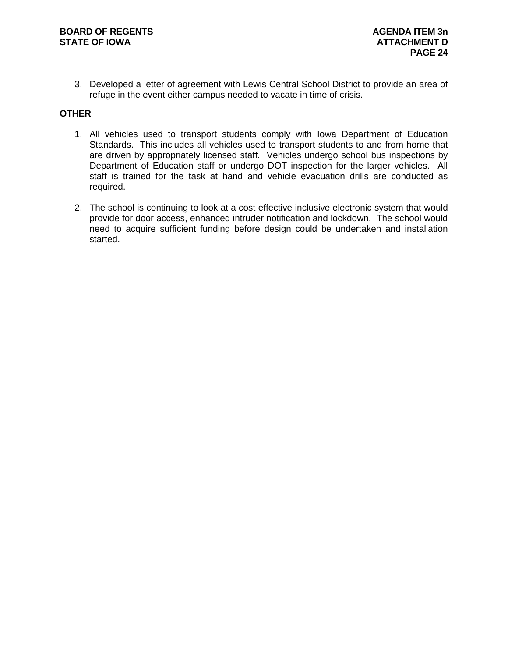3. Developed a letter of agreement with Lewis Central School District to provide an area of refuge in the event either campus needed to vacate in time of crisis.

# **OTHER**

- 1. All vehicles used to transport students comply with Iowa Department of Education Standards. This includes all vehicles used to transport students to and from home that are driven by appropriately licensed staff. Vehicles undergo school bus inspections by Department of Education staff or undergo DOT inspection for the larger vehicles. All staff is trained for the task at hand and vehicle evacuation drills are conducted as required.
- 2. The school is continuing to look at a cost effective inclusive electronic system that would provide for door access, enhanced intruder notification and lockdown. The school would need to acquire sufficient funding before design could be undertaken and installation started.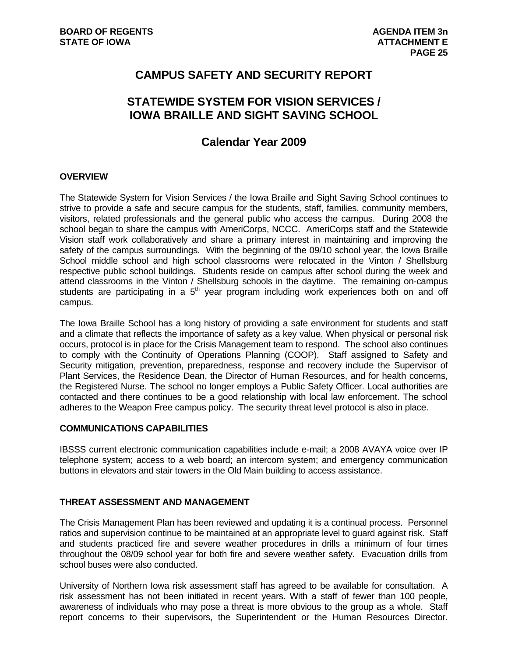# **CAMPUS SAFETY AND SECURITY REPORT**

# **STATEWIDE SYSTEM FOR VISION SERVICES / IOWA BRAILLE AND SIGHT SAVING SCHOOL**

# **Calendar Year 2009**

#### **OVERVIEW**

The Statewide System for Vision Services / the Iowa Braille and Sight Saving School continues to strive to provide a safe and secure campus for the students, staff, families, community members, visitors, related professionals and the general public who access the campus. During 2008 the school began to share the campus with AmeriCorps, NCCC. AmeriCorps staff and the Statewide Vision staff work collaboratively and share a primary interest in maintaining and improving the safety of the campus surroundings. With the beginning of the 09/10 school year, the Iowa Braille School middle school and high school classrooms were relocated in the Vinton / Shellsburg respective public school buildings. Students reside on campus after school during the week and attend classrooms in the Vinton / Shellsburg schools in the daytime. The remaining on-campus students are participating in a  $5<sup>th</sup>$  year program including work experiences both on and off campus.

The Iowa Braille School has a long history of providing a safe environment for students and staff and a climate that reflects the importance of safety as a key value. When physical or personal risk occurs, protocol is in place for the Crisis Management team to respond. The school also continues to comply with the Continuity of Operations Planning (COOP). Staff assigned to Safety and Security mitigation, prevention, preparedness, response and recovery include the Supervisor of Plant Services, the Residence Dean, the Director of Human Resources, and for health concerns, the Registered Nurse. The school no longer employs a Public Safety Officer. Local authorities are contacted and there continues to be a good relationship with local law enforcement. The school adheres to the Weapon Free campus policy. The security threat level protocol is also in place.

#### **COMMUNICATIONS CAPABILITIES**

IBSSS current electronic communication capabilities include e-mail; a 2008 AVAYA voice over IP telephone system; access to a web board; an intercom system; and emergency communication buttons in elevators and stair towers in the Old Main building to access assistance.

# **THREAT ASSESSMENT AND MANAGEMENT**

The Crisis Management Plan has been reviewed and updating it is a continual process. Personnel ratios and supervision continue to be maintained at an appropriate level to guard against risk. Staff and students practiced fire and severe weather procedures in drills a minimum of four times throughout the 08/09 school year for both fire and severe weather safety. Evacuation drills from school buses were also conducted.

University of Northern Iowa risk assessment staff has agreed to be available for consultation. A risk assessment has not been initiated in recent years. With a staff of fewer than 100 people, awareness of individuals who may pose a threat is more obvious to the group as a whole. Staff report concerns to their supervisors, the Superintendent or the Human Resources Director.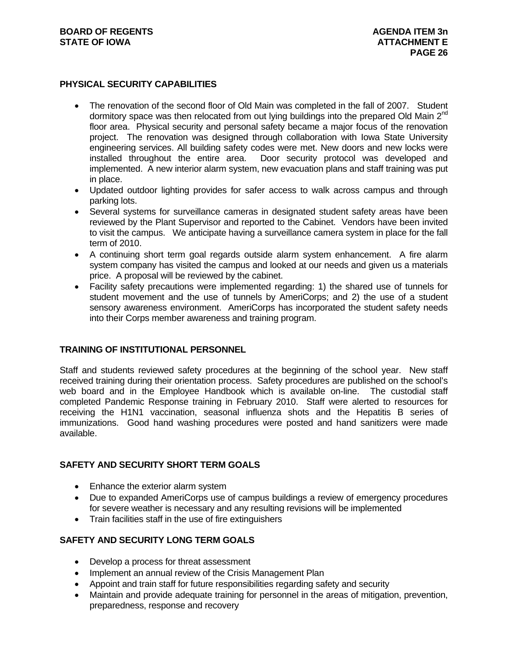### **PHYSICAL SECURITY CAPABILITIES**

- The renovation of the second floor of Old Main was completed in the fall of 2007. Student dormitory space was then relocated from out lying buildings into the prepared Old Main  $2<sup>nd</sup>$ floor area. Physical security and personal safety became a major focus of the renovation project. The renovation was designed through collaboration with Iowa State University engineering services. All building safety codes were met. New doors and new locks were installed throughout the entire area. Door security protocol was developed and implemented. A new interior alarm system, new evacuation plans and staff training was put in place.
- Updated outdoor lighting provides for safer access to walk across campus and through parking lots.
- Several systems for surveillance cameras in designated student safety areas have been reviewed by the Plant Supervisor and reported to the Cabinet. Vendors have been invited to visit the campus. We anticipate having a surveillance camera system in place for the fall term of 2010.
- A continuing short term goal regards outside alarm system enhancement. A fire alarm system company has visited the campus and looked at our needs and given us a materials price. A proposal will be reviewed by the cabinet.
- Facility safety precautions were implemented regarding: 1) the shared use of tunnels for student movement and the use of tunnels by AmeriCorps; and 2) the use of a student sensory awareness environment. AmeriCorps has incorporated the student safety needs into their Corps member awareness and training program.

# **TRAINING OF INSTITUTIONAL PERSONNEL**

Staff and students reviewed safety procedures at the beginning of the school year. New staff received training during their orientation process. Safety procedures are published on the school's web board and in the Employee Handbook which is available on-line. The custodial staff completed Pandemic Response training in February 2010. Staff were alerted to resources for receiving the H1N1 vaccination, seasonal influenza shots and the Hepatitis B series of immunizations. Good hand washing procedures were posted and hand sanitizers were made available.

#### **SAFETY AND SECURITY SHORT TERM GOALS**

- Enhance the exterior alarm system
- Due to expanded AmeriCorps use of campus buildings a review of emergency procedures for severe weather is necessary and any resulting revisions will be implemented
- Train facilities staff in the use of fire extinguishers

# **SAFETY AND SECURITY LONG TERM GOALS**

- Develop a process for threat assessment
- Implement an annual review of the Crisis Management Plan
- Appoint and train staff for future responsibilities regarding safety and security
- Maintain and provide adequate training for personnel in the areas of mitigation, prevention, preparedness, response and recovery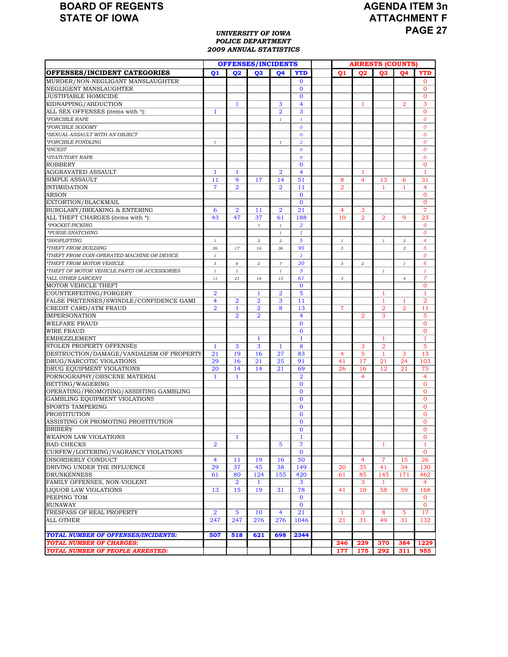# **AGENDA ITEM 3n ATTACHMENT F PAGE 27**

#### *UNIVERSITY OF IOWA POLICE DEPARTMENT 2009 ANNUAL STATISTICS*

|                                              |                |                | <b>OFFENSES/INCIDENTS</b> |                  |                  |                | <b>ARRESTS (COUNTS)</b> |                |                         |                  |
|----------------------------------------------|----------------|----------------|---------------------------|------------------|------------------|----------------|-------------------------|----------------|-------------------------|------------------|
| <b>OFFENSES/INCIDENT CATEGORIES</b>          | 01             | 02             | 03                        | <b>O4</b>        | <b>YTD</b>       | 01             | 02                      | Q <sub>3</sub> | 04                      | <b>YTD</b>       |
| MURDER/NON-NEGLIGANT MANSLAUGHTER            |                |                |                           |                  | $\bf{0}$         |                |                         |                |                         | $\mathbf{0}$     |
| NEGLIGENT MANSLAUGHTER                       |                |                |                           |                  | $\Omega$         |                |                         |                |                         | $\mathbf{O}$     |
| <b>JUSTIFIABLE HOMICIDE</b>                  |                |                |                           |                  | $\mathbf{0}$     |                |                         |                |                         | $\mathbf{0}$     |
| KIDNAPPING/ABDUCTION                         |                | $\mathbf{1}$   |                           | 3                | $\overline{4}$   |                | 1                       |                | $\overline{2}$          | 3                |
| ALL SEX OFFENSES (items with *):             | $\mathbf{1}$   |                |                           | $\overline{2}$   | 3                |                |                         |                |                         | $\Omega$         |
| *FORCIBLE RAPE                               |                |                |                           | $\mathcal{I}$    | $\mathbf{1}$     |                |                         |                |                         | $\boldsymbol{0}$ |
| *FORCIBLE SODOMY                             |                |                |                           |                  | $\boldsymbol{o}$ |                |                         |                |                         | $\boldsymbol{0}$ |
| *SEXUAL ASSAULT WITH AN OBJECT               |                |                |                           |                  | $\boldsymbol{o}$ |                |                         |                |                         | $\overline{O}$   |
| *FORCIBLE FONDLING                           | $\it 1$        |                |                           | $\mathbf{I}$     | $\overline{a}$   |                |                         |                |                         | $\boldsymbol{0}$ |
| $*INCEST$                                    |                |                |                           |                  | $\boldsymbol{o}$ |                |                         |                |                         | $\boldsymbol{0}$ |
| *STATUTORY RAPE                              |                |                |                           |                  | $\boldsymbol{o}$ |                |                         |                |                         | $\boldsymbol{0}$ |
| <b>ROBBERY</b>                               |                |                |                           |                  | $\bf{0}$         |                |                         |                |                         | $\mathbf{0}$     |
| AGGRAVATED ASSAULT                           | $\mathbf{1}$   | 1              |                           | $\overline{2}$   | $\overline{4}$   |                | 1                       |                |                         | $\mathbf{1}$     |
| SIMPLE ASSAULT                               | 11             | 9              | 17                        | 14               | 51               | 8              | $\overline{4}$          | 13             | 6                       | 31               |
| <b>INTIMIDATION</b>                          | $\overline{7}$ | $\overline{2}$ |                           | $\overline{2}$   | 11               | $\overline{2}$ |                         | $\mathbf{1}$   | $\mathbf{1}$            | 4                |
| <b>ARSON</b>                                 |                |                |                           |                  | $\mathbf{0}$     |                |                         |                |                         | $\mathbf{0}$     |
| EXTORTION/BLACKMAIL                          |                |                |                           |                  | $\mathbf{0}$     |                |                         |                |                         | $\Omega$         |
| BURGLARY/BREAKING & ENTERING                 | 6              | 2              | 11                        | $\overline{a}$   | 21               | 4              | 3                       |                |                         | $\overline{7}$   |
| ALL THEFT CHARGES (items with *):            | 43             | 47             | 37                        | 61               | 188              | 10             | $\overline{2}$          | $\overline{2}$ | 9                       | 23               |
| *POCKET-PICKING                              |                |                | $\mathbf{1}$              | $\cal I$         | $\overline{2}$   |                |                         |                |                         | $\Omega$         |
| *PURSE-SNATCHING                             |                |                |                           | $\mathcal{I}$    | $\boldsymbol{1}$ |                |                         |                |                         | $\boldsymbol{o}$ |
| *SHOPLIFTING                                 | $\it 1$        |                | $\overline{a}$            | $\overline{a}$   | 5                | $\cal I$       |                         | $\cal I$       | $\overline{\mathbf{c}}$ | 4                |
| *THEFT FROM BUILDING                         | 26             | 17             | 16                        | 36               | 95               | 3              |                         |                | $\boldsymbol{2}$        | 5                |
| *THEFT FROM COIN-OPERATED MACHINE OR DEVICE  | $\it 1$        |                |                           |                  | $\mathbf{1}$     |                |                         |                |                         | $\Omega$         |
| *THEFT FROM MOTOR VEHICLE                    | 3              | 8              | $\overline{a}$            | $\boldsymbol{7}$ | 20               | 3              | $\overline{\mathbf{c}}$ |                | $\it 1$                 | 6                |
| *THEFT OF MOTOR VEHICLE PARTS OR ACCESSORIES | $\it 1$        | $\it 1$        |                           | $\cal I$         | 3                |                |                         | $\it 1$        |                         | 1                |
| *ALL OTHER LARCENY                           | 11             | 21             | 16                        | 13               | 61               | $\sqrt{3}$     |                         |                | $\overline{4}$          | $\overline{7}$   |
| MOTOR VEHICLE THEFT                          |                |                |                           |                  | $\mathbf{0}$     |                |                         |                |                         | $\mathbf{O}$     |
| COUNTERFEITING/FORGERY                       | $\overline{2}$ |                | $\mathbf{1}$              | $\overline{a}$   | 5                |                |                         | 1              |                         | 1                |
| FALSE PRETENSES/SWINDLE/CONFIDENCE GAME      | $\overline{4}$ | $\overline{2}$ | $\overline{2}$            | 3                | 11               |                |                         | 1              | 1                       | $\overline{2}$   |
| CREDIT CARD/ATM FRAUD                        | $\overline{2}$ | 1              | $\overline{2}$            | 8                | 13               | $\overline{7}$ |                         | $\overline{2}$ | $\overline{2}$          | 11               |
| <b>IMPERSONATION</b>                         |                | $\overline{2}$ | $\overline{2}$            |                  | $\overline{4}$   |                | $\overline{2}$          | 3              |                         | 5                |
| <b>WELFARE FRAUD</b>                         |                |                |                           |                  | $\mathbf{0}$     |                |                         |                |                         | $\mathbf{0}$     |
| <b>WIRE FRAUD</b>                            |                |                |                           |                  | $\mathbf{0}$     |                |                         |                |                         | $\mathbf{0}$     |
| <b>EMBEZZLEMENT</b>                          |                |                | $\mathbf{1}$              |                  | $\mathbf{1}$     |                |                         | $\mathbf{1}$   |                         | $\mathbf{1}$     |
| STOLEN PROPERTY OFFENSES                     | $\mathbf{1}$   | 3              | 3                         | $\mathbf{1}$     | 8                |                | 3                       | $\overline{2}$ |                         | 5                |
| DESTRUCTION/DAMAGE/VANDALISM OF PROPERTY     | 21             | 19             | 16                        | 27               | 83               | $\overline{4}$ | 5                       | $\mathbf{1}$   | 3                       | 13               |
| DRUG/NARCOTIC VIOLATIONS                     | 29             | 16             | 21                        | 25               | 91               | 41             | 17                      | 21             | 24                      | 103              |
| DRUG EQUIPMENT VIOLATIONS                    | 20             | 14             | 14                        | 21               | 69               | 26             | 16                      | 12             | 21                      | 75               |
| PORNOGRAPHY/OBSCENE MATERIAL                 | $\mathbf{1}$   | $\mathbf{1}$   |                           |                  | $\overline{2}$   |                | 4                       |                |                         | $\overline{4}$   |
| BETTING/WAGERING                             |                |                |                           |                  | $\bf{0}$         |                |                         |                |                         | $\mathbf{0}$     |
| OPERATING/PROMOTING/ASSISTING GAMBLING       |                |                |                           |                  | $\mathbf{0}$     |                |                         |                |                         | $\mathbf{0}$     |
| <b>GAMBLING EQUIPMENT VIOLATIONS</b>         |                |                |                           |                  | $\mathbf{0}$     |                |                         |                |                         | $\mathbf{0}$     |
| <b>SPORTS TAMPERING</b>                      |                |                |                           |                  | $\mathbf 0$      |                |                         |                |                         | $\mathbf{0}$     |
| PROSTITUTION                                 |                |                |                           |                  | $\mathbf 0$      |                |                         |                |                         | $\mathbf{0}$     |
| ASSISTING OR PROMOTING PROSTITUTION          |                |                |                           |                  | $\mathbf{0}$     |                |                         |                |                         | $\mathbf{0}$     |
| <b>BRIBERY</b>                               |                |                |                           |                  | $\mathbf{0}$     |                |                         |                |                         | $\Omega$         |
| <b>WEAPON LAW VIOLATIONS</b>                 |                | $\mathbf{1}$   |                           |                  | $\mathbf{1}$     |                |                         |                |                         | $\mathbf 0$      |
| <b>BAD CHECKS</b>                            | $\overline{2}$ |                |                           | 5                | $\overline{7}$   |                |                         | 1              |                         | $\mathbf{1}$     |
| CURFEW/LOITERING/VAGRANCY VIOLATIONS         |                |                |                           |                  | $\mathbf{0}$     |                |                         |                |                         | $\mathbf{0}$     |
| DISORDERLY CONDUCT                           | $\overline{4}$ | 11             | 19                        | 16               | 50               |                | 4                       | $\overline{7}$ | 15                      | 26               |
| DRIVING UNDER THE INFLUENCE                  | 29             | 37             | 45                        | 38               | 149              | 20             | 35                      | 41             | 34                      | 130              |
| <b>DRUNKENNESS</b>                           | 61             | 80             | 124                       | 155              | 420              | 61             | 85                      | 145            | 171                     | 462              |
| FAMILY OFFENSES, NON-VIOLENT                 |                | $\overline{a}$ | $\mathbf{1}$              |                  | 3                |                | 3                       | $\mathbf{1}$   |                         | $\overline{4}$   |
| LIQUOR LAW VIOLATIONS                        | 13             | 15             | 19                        | 31               | 78               | 41             | 10                      | 58             | 59                      | 168              |
| PEEPING TOM                                  |                |                |                           |                  | $\mathbf{0}$     |                |                         |                |                         | $\mathbf{0}$     |
| <b>RUNAWAY</b>                               |                |                |                           |                  | $\mathbf{0}$     |                |                         |                |                         | $\overline{0}$   |
| TRESPASS OF REAL PROPERTY                    | $\overline{2}$ | 5              | 10                        | $\overline{4}$   | 21               | $\mathbf{1}$   | 3                       | 8              | 5                       | 17               |
| ALL OTHER                                    | 247            | 247            | 276                       | 276              | 1046             | 21             | 31                      | 49             | 31                      | 132              |
|                                              |                |                |                           |                  |                  |                |                         |                |                         |                  |
| TOTAL NUMBER OF OFFENSES/INCIDENTS:          | 507            | 518            | 621                       | 698              | 2344             |                |                         |                |                         |                  |
| <b>TOTAL NUMBER OF CHARGES:</b>              |                |                |                           |                  |                  | 246            | 229                     | 370            | 384                     | 1229             |
| TOTAL NUMBER OF PEOPLE ARRESTED:             |                |                |                           |                  |                  | 177            | 175                     | 292            | 311                     | 955              |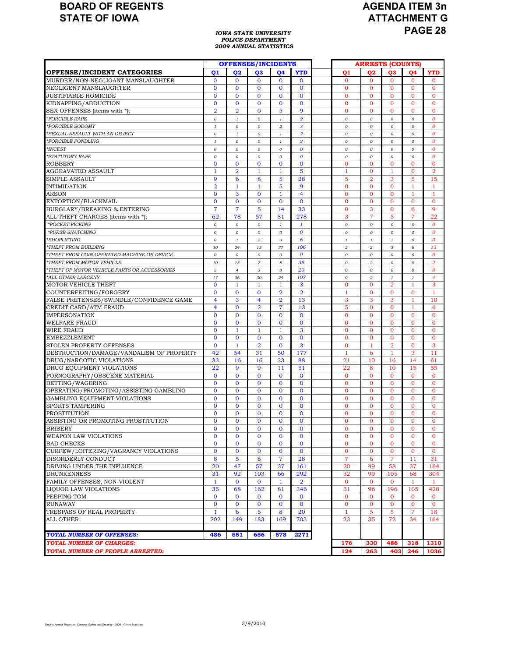# **AGENDA ITEM 3n ATTACHMENT G PAGE 28**

#### *IOWA STATE UNIVERSITY POLICE DEPARTMENT 2009 ANNUAL STATISTICS*

|                                              |                |                | <b>OFFENSES/INCIDENTS</b> |                |                  |                | <b>ARRESTS (COUNTS)</b> |                 |                |                  |
|----------------------------------------------|----------------|----------------|---------------------------|----------------|------------------|----------------|-------------------------|-----------------|----------------|------------------|
| OFFENSE/INCIDENT CATEGORIES                  | Q1             | 02             | Q <sub>3</sub>            | 04             | <b>YTD</b>       | Q1             | 02                      | Q <sub>3</sub>  | <b>04</b>      | <b>YTD</b>       |
| MURDER/NON-NEGLIGANT MANSLAUGHTER            | $\Omega$       | $\Omega$       | $\Omega$                  | $\Omega$       | $\mathbf{0}$     | $\mathbf{0}$   | $\mathbf{0}$            | $\Omega$        | $\mathbf{0}$   | $\Omega$         |
| NEGLIGENT MANSLAUGHTER                       | $\mathbf{0}$   | $\mathbf{0}$   | $\mathbf{0}$              | $\mathbf{0}$   | $\bf{0}$         | $\mathbf{0}$   | $\mathbf{O}$            | $\mathbf{0}$    | $\mathbf{0}$   | $\mathbf{O}$     |
| JUSTIFIABLE HOMICIDE                         | $\Omega$       | $\Omega$       | $\Omega$                  | $\Omega$       | $\overline{0}$   | $\mathbf{O}$   | $\overline{0}$          | $\overline{0}$  | $\Omega$       | $\Omega$         |
| KIDNAPPING/ABDUCTION                         | $\mathbf{0}$   | $\mathbf{0}$   | $\mathbf{O}$              | $\mathbf{O}$   | $\mathbf{0}$     | $\mathbf{0}$   | $\mathbf{O}$            | $\mathbf{0}$    | $\overline{0}$ | $\mathbf{0}$     |
| SEX OFFENSES (items with *):                 | $\overline{2}$ | $\overline{2}$ | $\mathbf{O}$              | 5              | 9                | $\mathbf{0}$   | $\mathbf{O}$            | $\Omega$        | $\Omega$       | $\mathbf{0}$     |
| *FORCIBLE RAPE                               | $\mathcal{O}$  | $\mathfrak{1}$ | 0                         | $\it 1$        | $\overline{2}$   | $\cal O$       | $\cal O$                | 0               | $\mathcal{O}$  | $\boldsymbol{0}$ |
| *FORCIBLE SODOMY                             | $\mathbf{1}$   | $\mathcal{O}$  | $\mathcal{O}$             | $\overline{a}$ | $\overline{3}$   | $\mathcal{O}$  | $\mathcal{O}$           | $\overline{O}$  | $\mathcal{O}$  | $\overline{0}$   |
| *SEXUAL ASSAULT WITH AN OBJECT               | $\mathcal{O}$  | $\mathbf{I}$   | $\mathcal{O}$             | $\mathbf{I}$   | $\overline{2}$   | $\mathcal{O}$  | $\mathcal{O}$           | $\mathcal{O}$   | $\mathcal{O}$  | 0                |
| *FORCIBLE FONDLING                           | $\mathbf{I}$   | $\mathcal{O}$  | $\mathcal{O}$             | $\cal{I}$      | $\overline{2}$   | $\mathcal{O}$  | $\mathcal{O}$           | 0               | $\mathcal{O}$  | 0                |
| *INCEST                                      | $\mathcal{O}$  | $\mathcal{O}$  | 0                         | $\cal O$       | $\boldsymbol{o}$ | $\mathcal{O}$  | $\cal O$                | $\mathcal{O}$   | $\mathcal{O}$  | $\boldsymbol{o}$ |
| *STATUTORY RAPE                              | $\mathcal{O}$  | $\mathcal{O}$  | $\mathcal{O}$             | $\mathcal{O}$  | $\boldsymbol{o}$ | $\cal O$       | $\mathcal{O}$           | $\mathcal{O}$   | $\mathcal{O}$  | $\boldsymbol{o}$ |
| <b>ROBBERY</b>                               | $\Omega$       | $\mathbf{0}$   | $\mathbf{0}$              | $\overline{0}$ | $\mathbf 0$      | $\mathbf{O}$   | $\mathbf{O}$            | $\mathbf{O}$    | $\Omega$       | $\overline{0}$   |
| <b>AGGRAVATED ASSAULT</b>                    | 1              | $\overline{2}$ | $\mathbf{1}$              | $\mathbf{1}$   | 5                | $\mathbf{1}$   | $\overline{0}$          | $\mathbf{1}$    | $\overline{0}$ | $\overline{2}$   |
| SIMPLE ASSAULT                               | 9              | 6              | 8                         | 5              | 28               | 5              | $\overline{a}$          | 3               | 5              | 15               |
| <b>INTIMIDATION</b>                          | $\overline{2}$ | $\mathbf{1}$   | $\mathbf{1}$              | 5              | 9                | $\mathbf{0}$   | $\Omega$                | $\overline{0}$  | 1              | 1                |
| <b>ARSON</b>                                 | $\Omega$       | 3              | $\mathbf{0}$              | $\mathbf{1}$   | $\overline{4}$   | $\mathbf{0}$   | $\mathbf{O}$            | $\mathbf{O}$    | -1             | 1                |
| EXTORTION/BLACKMAIL                          | $\Omega$       | $\overline{0}$ | $\mathbf{0}$              | $\mathbf{0}$   | $\mathbf{0}$     | $\mathbf{0}$   | $\Omega$                | $\Omega$        | $\Omega$       | $\mathbf{0}$     |
| BURGLARY/BREAKING & ENTERING                 | $\overline{7}$ | $\overline{7}$ | 5                         | 14             | 33               | $\mathbf{O}$   | 3                       | $\mathbf{O}$    | 6              | 9                |
| ALL THEFT CHARGES (items with *):            | 62             | 78             | 57                        | 81             | 278              | 3              | $\overline{7}$          | 5               | $\overline{7}$ | 22               |
| *POCKET-PICKING                              | 0              | $\mathcal{O}$  | $\mathcal{O}$             | $\mathbf{I}$   | $\mathbf{1}$     | $\mathcal{O}$  | $\mathcal{O}$           | 0               | $\mathcal{O}$  | 0                |
| *PURSE-SNATCHING                             | 0              | $\mathcal{O}$  | $\mathcal{O}$             | $\mathcal{O}$  | $\boldsymbol{o}$ | $\mathcal{O}$  | $\mathcal{O}$           | 0               | $\mathcal{O}$  | 0                |
| *SHOPLIFTING                                 | 0              | $\cal{I}$      | $\overline{a}$            | 3              | 6                | $\cal I$       | $\cal I$                | $\mathbf{I}$    | $\mathcal{O}$  | 3                |
| *THEFT FROM BUILDING                         | 30             | 24             | 15                        | 37             | 106              | $\overline{2}$ | $\overline{2}$          | $\sqrt{3}$      | 6              | 13               |
| *THEFT FROM COIN-OPERATED MACHINE OR DEVICE  | $\mathcal{O}$  | $\mathcal{O}$  | $\mathcal{O}$             | $\mathcal{O}$  | $\boldsymbol{o}$ | $\cal O$       | $\mathcal{O}$           | $\mathcal{O}$   | $\mathcal{O}$  | $\boldsymbol{0}$ |
| *THEFT FROM MOTOR VEHICLE                    | 10             | 13             | $\boldsymbol{7}$          | 8              | 38               | $\cal O$       | $\boldsymbol{2}$        | $\mathcal{O}$   | $\mathcal{O}$  | $\boldsymbol{2}$ |
| *THEFT OF MOTOR VEHICLE PARTS OR ACCESSORIES | 5              | $\overline{4}$ | 3                         | 8              | 20               | $\cal O$       | $\cal O$                | 0               | $\mathcal{O}$  | 0                |
| *ALL OTHER LARCENY                           | 17             | 36             | 30                        | 24             | 107              | $\cal O$       | $\boldsymbol{2}$        | $\cal{I}$       | $\it 1$        | $\overline{4}$   |
| MOTOR VEHICLE THEFT                          | $\Omega$       | $\mathbf{1}$   | $\mathbf{1}$              | 1              | 3                | $\mathbf{O}$   | $\Omega$                | $\overline{2}$  | 1              | 3                |
| COUNTERFEITING/FORGERY                       | $\mathbf{0}$   | $\mathbf{O}$   | $\mathbf{0}$              | $\overline{2}$ | $\overline{2}$   | $\mathbf{1}$   | $\overline{0}$          | $\mathbf{0}$    | $\overline{0}$ | 1                |
| FALSE PRETENSES/SWINDLE/CONFIDENCE GAME      | $\overline{4}$ | 3              | $\overline{4}$            | $\overline{2}$ | 13               | 3              | 3                       | 3               | $\mathbf{1}$   | 10               |
| CREDIT CARD/ATM FRAUD                        | $\overline{4}$ | $\mathbf{0}$   | $\overline{2}$            | $\overline{7}$ | 13               | 5              | $\overline{0}$          | $\mathbf{0}$    | 1              | 6                |
| <b>IMPERSONATION</b>                         | $\Omega$       | $\overline{0}$ | $\mathbf{0}$              | $\mathbf{0}$   | $\mathbf{O}$     | $\mathbf{O}$   | $\Omega$                | $\Omega$        | $\Omega$       | $\overline{0}$   |
| <b>WELFARE FRAUD</b>                         | $\mathbf{0}$   | $\mathbf{0}$   | $\mathbf{0}$              | $\mathbf 0$    | $\bf{0}$         | $\mathbf{0}$   | $\overline{0}$          | $\mathbf{0}$    | $\overline{0}$ | $\mathbf{0}$     |
| WIRE FRAUD                                   | $\overline{0}$ | $\mathbf{1}$   | $\mathbf{1}$              | $\mathbf{1}$   | 3                | $\mathbf{O}$   | $\overline{0}$          | $\Omega$        | $\Omega$       | $\overline{0}$   |
| <b>EMBEZZLEMENT</b>                          | $\mathbf{0}$   | $\mathbf{O}$   | $\mathbf{0}$              | $\mathbf{0}$   | $\mathbf{O}$     | $\mathbf{O}$   | $\overline{0}$          | $\mathbf{0}$    | $\overline{0}$ | $\overline{0}$   |
| STOLEN PROPERTY OFFENSES                     | $\Omega$       | $\mathbf{1}$   | $\overline{2}$            | $\Omega$       | 3                | $\overline{0}$ | $\mathbf{1}$            | $\overline{2}$  | $\Omega$       | 3                |
| DESTRUCTION/DAMAGE/VANDALISM OF PROPERTY     | 42             | 54             | 31                        | 50             | 177              | $\mathbf{1}$   | 6                       | 1               | 3              | 11               |
| DRUG/NARCOTIC VIOLATIONS                     | 33             | 16             | 16                        | 23             | 88               | 21             | 10                      | 16              | 14             | 61               |
| DRUG EQUIPMENT VIOLATIONS                    | 22             | 9              | 9                         | 11             | 51               | 22             | 8                       | 10              | 15             | 55               |
| PORNOGRAPHY/OBSCENE MATERIAL                 | $\Omega$       | $\Omega$       | $\Omega$                  | $\mathbf{0}$   | $\mathbf{0}$     | $\mathbf{0}$   | $\mathbf{O}$            | $\Omega$        | $\Omega$       | $\mathbf{0}$     |
| BETTING/WAGERING                             | $\mathbf{0}$   | $\mathbf{0}$   | $\mathbf{0}$              | $\overline{0}$ | $\bf{0}$         | $\mathbf{0}$   | $\mathbf{O}$            | $\mathbf{O}$    | $\Omega$       | $\mathbf{0}$     |
| OPERATING/PROMOTING/ASSISTING GAMBLING       | $\Omega$       | $\mathbf{0}$   | $\mathbf{0}$              | $\overline{0}$ | $\mathbf{0}$     | $\mathbf{0}$   | $\Omega$                | $\Omega$        | $\Omega$       | $\mathbf{0}$     |
| GAMBLING EQUIPMENT VIOLATIONS                | $\Omega$       | $\mathbf{0}$   | $\mathbf{0}$              | $\overline{0}$ | $\mathbf{0}$     | $\mathbf{O}$   | $\mathbf{O}$            | $\mathbf{O}$    | $\overline{0}$ | $\mathbf{0}$     |
| SPORTS TAMPERING                             | $\Omega$       | $\mathbf{0}$   | $\mathbf{0}$              | $\mathbf{0}$   | $\mathbf{0}$     | $\mathbf{0}$   | $\Omega$                | $\Omega$        | $\Omega$       | $\mathbf{0}$     |
| PROSTITUTION                                 | $\Omega$       | $\mathbf{0}$   | $\mathbf{O}$              | $\mathbf{0}$   | $\mathbf{0}$     | $\overline{0}$ | $\overline{0}$          | 0               | $\overline{0}$ | $\overline{0}$   |
| ASSISTING OR PROMOTING PROSTITUTION          | $\mathbf{0}$   | $\mathbf{0}$   | $\mathbf{O}$              | $\mathbf{0}$   | $\mathbf{0}$     | $\overline{0}$ | $\Omega$                | $\overline{0}$  | $\Omega$       | $\overline{0}$   |
| <b>BRIBERY</b>                               | $\Omega$       | $\overline{0}$ | $\overline{0}$            | $\overline{0}$ | $\mathbf{0}$     | $\Omega$       | $\overline{0}$          | $\Omega$        | $\Omega$       | $\overline{0}$   |
| WEAPON LAW VIOLATIONS                        | $\overline{0}$ | $\mathbf{O}$   | $\mathbf{0}$              | $\mathbf{O}$   | $\bf{0}$         | $\mathbf{O}$   | $\mathbf{0}$            | $\mathbf{O}$    | $\mathbf{0}$   | $\mathbf 0$      |
| <b>BAD CHECKS</b>                            | $\overline{0}$ | $\mathbf{0}$   | $\mathbf{0}$              | $\overline{0}$ | $\mathbf{O}$     | $\mathbf 0$    | $\mathbf{O}$            | $\overline{0}$  | $\mathbf{O}$   | $\overline{0}$   |
| CURFEW/LOITERING/VAGRANCY VIOLATIONS         | $\overline{0}$ | $\mathbf{O}$   | $\mathbf{0}$              | $\mathbf{O}$   | $\mathbf{O}$     | $\mathbf{0}$   | $\mathbf{O}$            | $\overline{0}$  | $\mathbf{0}$   | $\mathbf{O}$     |
| DISORDERLY CONDUCT                           | 8              | 5              | 8                         | $\overline{7}$ | 28               | $\overline{7}$ | 6                       | $\overline{7}$  | 11             | 31               |
| DRIVING UNDER THE INFLUENCE                  | 20             | 47             | 57                        | 37             | 161              | 20             | 49                      | 58              | 37             | 164              |
| <b>DRUNKENNESS</b>                           | 31             | 92             | 103                       | 66             | 292              | 32             | 99                      | 105             | 68             | 304              |
| FAMILY OFFENSES, NON-VIOLENT                 | $\mathbf{1}$   | $\mathbf{0}$   | $\mathbf{0}$              | $\mathbf{1}$   | $\overline{2}$   | $\mathbf{0}$   | $\overline{0}$          | $\mathbf{0}$    | 1              | $\mathbf{1}$     |
| <b>LIQUOR LAW VIOLATIONS</b>                 | 35             | 68             | 162                       | 81             | 346              | 31             | 96                      | 196             | 105            | 428              |
| PEEPING TOM                                  | $\mathbf{0}$   | $\mathbf{0}$   | $\mathbf{0}$              | $\mathbf{0}$   | $\mathbf{0}$     | $\mathbf{0}$   | $\overline{0}$          | $\overline{0}$  | $\mathbf{0}$   | $\overline{0}$   |
| <b>RUNAWAY</b>                               | $\mathbf{0}$   | $\mathbf{0}$   | $\mathbf{0}$              | $\mathbf{O}$   | $\mathbf{0}$     | $\mathbf{O}$   | $\overline{0}$          | $\overline{0}$  | $\mathbf{0}$   | $\overline{0}$   |
| TRESPASS OF REAL PROPERTY                    | $\mathbf{1}$   | 6              | 5                         | 8              | 20               | $\mathbf{1}$   | $5^{\circ}$             | $5\phantom{.0}$ | $\overline{7}$ | 18               |
| <b>ALL OTHER</b>                             | 202            | 149            | 183                       | 169            | 703              | 23             | 35                      | 72              | 34             | 164              |
|                                              |                |                |                           |                |                  |                |                         |                 |                |                  |
| <b>TOTAL NUMBER OF OFFENSES:</b>             | 486            | 551            | 656                       | 578            | 2271             |                |                         |                 |                |                  |
| <b>TOTAL NUMBER OF CHARGES:</b>              |                |                |                           |                |                  | 176            | 330                     | 486             | 318            | 1310             |
| TOTAL NUMBER OF PEOPLE ARRESTED:             |                |                |                           |                |                  | 124            | 263                     | 403             | 246            | 1036             |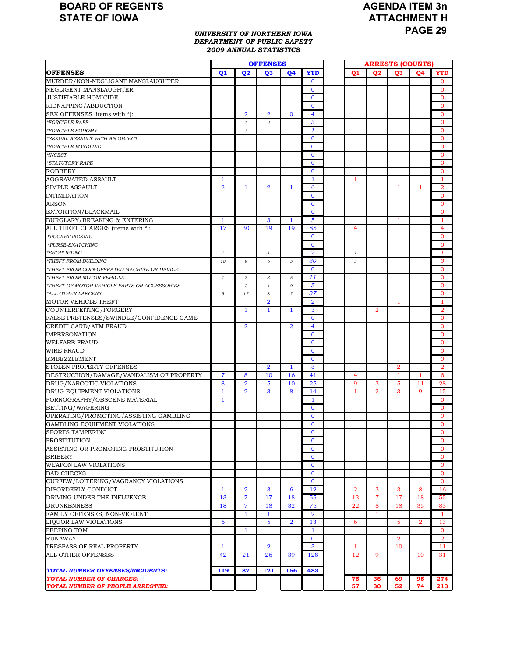# **AGENDA ITEM 3n ATTACHMENT H PAGE 29**

#### *UNIVERSITY OF NORTHERN IOWA DEPARTMENT OF PUBLIC SAFETY 2009 ANNUAL STATISTICS*

|                                              |                |                | <b>OFFENSES</b> |                |                    | <b>ARRESTS (COUNTS)</b> |                |                |                |                |
|----------------------------------------------|----------------|----------------|-----------------|----------------|--------------------|-------------------------|----------------|----------------|----------------|----------------|
| <b>OFFENSES</b>                              | 01             | 02             | 03              | <b>O4</b>      | <b>YTD</b>         | 01                      | <b>O2</b>      | 03             | <b>O4</b>      | <b>YTD</b>     |
| MURDER/NON-NEGLIGANT MANSLAUGHTER            |                |                |                 |                | $\mathbf{0}$       |                         |                |                |                | $\mathbf{0}$   |
| NEGLIGENT MANSLAUGHTER                       |                |                |                 |                | $\bf{0}$           |                         |                |                |                | $\mathbf{0}$   |
| <b>JUSTIFIABLE HOMICIDE</b>                  |                |                |                 |                | $\Omega$           |                         |                |                |                | $\mathbf{O}$   |
| KIDNAPPING/ABDUCTION                         |                |                |                 |                | $\mathbf{0}$       |                         |                |                |                | $\mathbf{O}$   |
| SEX OFFENSES (items with *):                 |                | $\overline{2}$ | $\overline{2}$  | $\mathbf{0}$   | 4                  |                         |                |                |                | $\mathbf{0}$   |
| *FORCIBLE RAPE                               |                | $\mathbf{1}$   | $\overline{a}$  |                | 3                  |                         |                |                |                | $\mathbf{0}$   |
| *FORCIBLE SODOMY                             |                | $\mathbf{1}$   |                 |                | $\mathbf{1}$       |                         |                |                |                | $\mathbf{0}$   |
| *SEXUAL ASSAULT WITH AN OBJECT               |                |                |                 |                | $\mathbf{0}$       |                         |                |                |                | $\mathbf{0}$   |
| *FORCIBLE FONDLING                           |                |                |                 |                | $\mathbf{0}$       |                         |                |                |                | $\mathbf{0}$   |
| $^*\!INCEST$                                 |                |                |                 |                | $\mathbf{0}$       |                         |                |                |                | $\mathbf{0}$   |
| *STATUTORY RAPE                              |                |                |                 |                | $\mathbf{0}$       |                         |                |                |                | $\mathbf{0}$   |
| <b>ROBBERY</b>                               |                |                |                 |                | $\mathbf{0}$       |                         |                |                |                | $\mathbf 0$    |
| AGGRAVATED ASSAULT                           | 1              |                |                 |                | $\mathbf{1}$       | 1                       |                |                |                | 1              |
| <b>SIMPLE ASSAULT</b>                        | $\overline{2}$ | $\mathbf{1}$   | $\overline{2}$  | $\mathbf{1}$   | 6                  |                         |                | 1              | 1              | $\overline{2}$ |
| <b>INTIMIDATION</b>                          |                |                |                 |                | $\mathbf{0}$       |                         |                |                |                | $\mathbf{0}$   |
| <b>ARSON</b>                                 |                |                |                 |                | $\bf{0}$           |                         |                |                |                | $\mathbf{0}$   |
| EXTORTION/BLACKMAIL                          |                |                |                 |                | $\mathbf{0}$       |                         |                |                |                | $\mathbf{0}$   |
| <b>BURGLARY/BREAKING &amp; ENTERING</b>      | $\mathbf{1}$   |                | 3               | $\mathbf{1}$   | 5                  |                         |                | 1              |                | $\mathbf{1}$   |
| ALL THEFT CHARGES (items with *):            | 17             | 30             | 19              | 19             |                    | 4                       |                |                |                | $\overline{4}$ |
|                                              |                |                |                 |                | 85<br>$\mathbf{0}$ |                         |                |                |                | $\mathbf{0}$   |
| *POCKET-PICKING                              |                |                |                 |                |                    |                         |                |                |                |                |
| *PURSE-SNATCHING                             |                |                |                 |                | $\mathbf{0}$       |                         |                |                |                | $\mathbf{O}$   |
| *SHOPLIFTING                                 | 1              |                | $\mathbf{1}$    |                | $\overline{2}$     | $\mathbf{1}$            |                |                |                | 1              |
| *THEFT FROM BUILDING                         | 10             | 9              | 6               | 5              | 30                 | 3                       |                |                |                | 3              |
| *THEFT FROM COIN-OPERATED MACHINE OR DEVICE  |                |                |                 |                | $\mathbf{0}$       |                         |                |                |                | $\mathbf{0}$   |
| *THEFT FROM MOTOR VEHICLE                    | $\it 1$        | $\overline{a}$ | 3               | 5              | 11                 |                         |                |                |                | $\overline{0}$ |
| *THEFT OF MOTOR VEHICLE PARTS OR ACCESSORIES |                | $\overline{a}$ | $\mathbf{I}$    | $\overline{2}$ | 5                  |                         |                |                |                | $\mathbf{0}$   |
| *ALL OTHER LARCENY                           | $\sqrt{5}$     | 17             | 8               | $\overline{7}$ | 37                 |                         |                |                |                | $\mathbf 0$    |
| <b>MOTOR VEHICLE THEFT</b>                   |                |                | $\overline{2}$  |                | $\overline{2}$     |                         |                | $\mathbf{1}$   |                | 1              |
| COUNTERFEITING/FORGERY                       |                | $\mathbf{1}$   | $\mathbf{1}$    | $\mathbf{1}$   | 3                  |                         | $\overline{2}$ |                |                | $\overline{a}$ |
| FALSE PRETENSES/SWINDLE/CONFIDENCE GAME      |                |                |                 |                | $\bf{0}$           |                         |                |                |                | $\mathbf{0}$   |
| CREDIT CARD/ATM FRAUD                        |                | $\overline{2}$ |                 | $\overline{2}$ | $\overline{4}$     |                         |                |                |                | $\mathbf{0}$   |
| <b>IMPERSONATION</b>                         |                |                |                 |                | $\bf{0}$           |                         |                |                |                | $\mathbf{0}$   |
| <b>WELFARE FRAUD</b>                         |                |                |                 |                | $\mathbf{0}$       |                         |                |                |                | $\mathbf{0}$   |
| <b>WIRE FRAUD</b>                            |                |                |                 |                | $\mathbf{0}$       |                         |                |                |                | $\mathbf{0}$   |
| <b>EMBEZZLEMENT</b>                          |                |                |                 |                | $\mathbf{0}$       |                         |                |                |                | $\mathbf{0}$   |
| STOLEN PROPERTY OFFENSES                     |                |                | $\overline{2}$  | $\mathbf{1}$   | 3                  |                         |                | $\overline{2}$ |                | $\overline{2}$ |
| DESTRUCTION/DAMAGE/VANDALISM OF PROPERTY     | 7              | 8              | 10              | 16             | 41                 | 4                       |                | $\mathbf{1}$   | 1              | 6              |
| DRUG/NARCOTIC VIOLATIONS                     | 8              | $\overline{2}$ | 5               | 10             | 25                 | 9                       | 3              | 5              | 11             | 28             |
| DRUG EQUIPMENT VIOLATIONS                    | $\mathbf{1}$   | $\overline{2}$ | 3               | 8              | 14                 | $\mathbf{1}$            | $\overline{2}$ | 3              | 9              | 15             |
| PORNOGRAPHY/OBSCENE MATERIAL                 | $\mathbf{1}$   |                |                 |                | $\mathbf{1}$       |                         |                |                |                | $\mathbf{0}$   |
| BETTING/WAGERING                             |                |                |                 |                | $\bf{0}$           |                         |                |                |                | $\mathbf{0}$   |
| OPERATING/PROMOTING/ASSISTING GAMBLING       |                |                |                 |                | $\mathbf{0}$       |                         |                |                |                | $\mathbf{0}$   |
| GAMBLING EQUIPMENT VIOLATIONS                |                |                |                 |                | $\mathbf{O}$       |                         |                |                |                | $\Omega$       |
| <b>SPORTS TAMPERING</b>                      |                |                |                 |                | $\bf{0}$           |                         |                |                |                | 0              |
| <b>PROSTITUTION</b>                          |                |                |                 |                | $\mathbf{0}$       |                         |                |                |                | $\mathbf{0}$   |
| ASSISTING OR PROMOTING PROSTITUTION          |                |                |                 |                | $\mathbf{0}$       |                         |                |                |                | $\overline{0}$ |
| <b>BRIBERY</b>                               |                |                |                 |                | $\mathbf{0}$       |                         |                |                |                | $\overline{0}$ |
| <b>WEAPON LAW VIOLATIONS</b>                 |                |                |                 |                | $\bf{0}$           |                         |                |                |                | $\mathbf{0}$   |
| <b>BAD CHECKS</b>                            |                |                |                 |                | $\mathbf{0}$       |                         |                |                |                | $\overline{0}$ |
| CURFEW/LOITERING/VAGRANCY VIOLATIONS         |                |                |                 |                | $\mathbf{0}$       |                         |                |                |                | $\mathbf{O}$   |
| DISORDERLY CONDUCT                           | $\mathbf{1}$   | $\overline{2}$ | 3               | 6              | 12                 | $\overline{2}$          | 3              | 3              | 8              | 16             |
| DRIVING UNDER THE INFLUENCE                  | 13             | 7              | 17              | 18             | 55                 | 13                      | 7              | 17             | 18             | 55             |
| <b>DRUNKENNESS</b>                           | 18             | $\overline{7}$ | 18              | 32             | 75                 | 22                      | 8              | 18             | 35             | 83             |
| FAMILY OFFENSES, NON-VIOLENT                 |                | $\mathbf{1}$   | $\mathbf{1}$    |                | $\overline{2}$     |                         | $\mathbf{1}$   |                |                | $\mathbf{1}$   |
| LIQUOR LAW VIOLATIONS                        | 6              |                | 5               | $\overline{2}$ | 13                 | 6                       |                | 5              | $\overline{2}$ | 13             |
| PEEPING TOM                                  |                | $\mathbf{1}$   |                 |                | $\mathbf{1}$       |                         |                |                |                | $\mathbf{0}$   |
| <b>RUNAWAY</b>                               |                |                |                 |                | $\mathbf{0}$       |                         |                | $\overline{2}$ |                | $\overline{2}$ |
| TRESPASS OF REAL PROPERTY                    | $\mathbf{1}$   |                | $\overline{2}$  |                | 3                  | 1                       |                | 10             |                | 11             |
| ALL OTHER OFFENSES                           | 42             | 21             | 26              | 39             | 128                | 12                      | 9              |                | 10             | 31             |
|                                              |                |                |                 |                |                    |                         |                |                |                |                |
| <b>TOTAL NUMBER OFFENSES/INCIDENTS:</b>      | 119            | 87             | 121             | 156            | 483                |                         |                |                |                |                |
| <b>TOTAL NUMBER OF CHARGES:</b>              |                |                |                 |                |                    | 75                      | 35             | 69             | 95             | 274            |
| TOTAL NUMBER OF PEOPLE ARRESTED:             |                |                |                 |                |                    | 57                      | 30             | 52             | 74             | 213            |
|                                              |                |                |                 |                |                    |                         |                |                |                |                |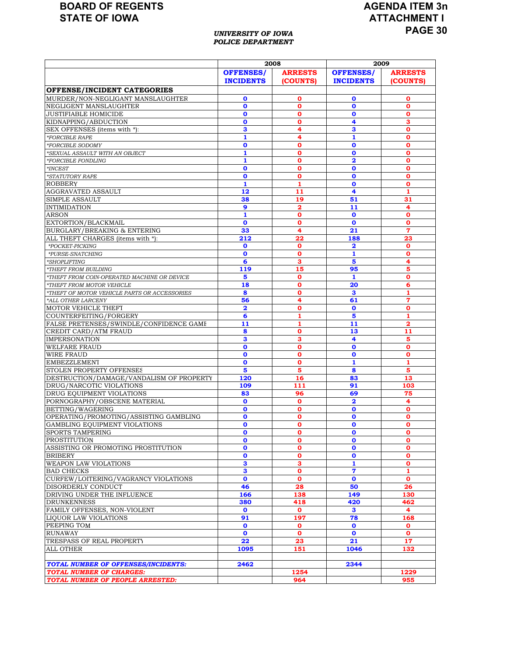# **AGENDA ITEM 3n ATTACHMENT I PAGE 30**

#### *UNIVERSITY OF IOWA POLICE DEPARTMENT*

|                                                                   |                         | 2008             | 2009                    |                  |  |  |
|-------------------------------------------------------------------|-------------------------|------------------|-------------------------|------------------|--|--|
|                                                                   | <b>OFFENSES/</b>        | <b>ARRESTS</b>   | <b>OFFENSES/</b>        | <b>ARRESTS</b>   |  |  |
|                                                                   | <b>INCIDENTS</b>        | (COUNTS)         | <b>INCIDENTS</b>        | (COUNTS)         |  |  |
| <b>OFFENSE/INCIDENT CATEGORIES</b>                                |                         |                  |                         |                  |  |  |
| MURDER/NON-NEGLIGANT MANSLAUGHTER                                 | $\mathbf 0$             | о                | 0                       | 0                |  |  |
| NEGLIGENT MANSLAUGHTER                                            | $\mathbf 0$             | 0                | $\mathbf 0$             | $\mathbf o$      |  |  |
| <b>JUSTIFIABLE HOMICIDE</b>                                       | $\mathbf 0$             | O                | 0                       | O                |  |  |
| KIDNAPPING/ABDUCTION                                              | $\mathbf{o}$            | $\mathbf o$      | 4                       | 3                |  |  |
| SEX OFFENSES (items with *):                                      | 3                       | 4                | 3                       | O                |  |  |
| *FORCIBLE RAPE                                                    | $\mathbf{1}$            | 4                | 1                       | $\mathbf o$      |  |  |
| *FORCIBLE SODOMY                                                  | $\mathbf 0$             | 0                | $\mathbf o$             | $\mathbf o$      |  |  |
| 'SEXUAL ASSAULT WITH AN OBJECT                                    | $\mathbf{1}$            | Ō                | $\mathbf{o}$            | $\mathbf{o}$     |  |  |
| *FORCIBLE FONDLING                                                | 1                       | 0                | $\overline{\mathbf{2}}$ | $\mathbf o$      |  |  |
| $*INCEST$                                                         | $\mathbf 0$             | 0                | O                       | O                |  |  |
| *STATUTORY RAPE                                                   | $\mathbf 0$             | $\mathbf o$      | $\mathbf 0$             | $\mathbf o$      |  |  |
| <b>ROBBERY</b>                                                    | 1<br>12                 | 1                | O<br>4                  | $\mathbf o$<br>1 |  |  |
| AGGRAVATED ASSAULT<br><b>SIMPLE ASSAULT</b>                       |                         | 11<br>19         | 51                      | 31               |  |  |
| <b>INTIMIDATION</b>                                               | 38<br>9                 | $\mathbf{2}$     | 11                      | 4                |  |  |
| <b>ARSON</b>                                                      | 1                       | о                | $\mathbf 0$             | O                |  |  |
| EXTORTION/BLACKMAIL                                               | $\mathbf 0$             | $\mathbf 0$      | $\mathbf{o}$            | $\mathbf o$      |  |  |
| BURGLARY/BREAKING & ENTERING                                      | 33                      | 4                | 21                      | $\overline{7}$   |  |  |
| ALL THEFT CHARGES (items with *):                                 | 212                     | 22               | 188                     | 23               |  |  |
| *POCKET-PICKING                                                   | $\mathbf 0$             | $\mathbf o$      | $\overline{\mathbf{2}}$ | $\mathbf o$      |  |  |
| *PURSE-SNATCHING                                                  | $\mathbf 0$             | O                | 1                       | $\mathbf o$      |  |  |
| *SHOPLIFTING                                                      | 6                       | з                | 5                       | 4                |  |  |
| *THEFT FROM BUILDING                                              | 119                     | 15               | 95                      | 5                |  |  |
| *THEFT FROM COIN-OPERATED MACHINE OR DEVICE                       | 5                       | $\mathbf o$      | 1                       | $\mathbf o$      |  |  |
| THEFT FROM MOTOR VEHICLE                                          | 18                      | 0                | 20                      | 6                |  |  |
| *THEFT OF MOTOR VEHICLE PARTS OR ACCESSORIES                      | 8                       | 0                | з                       | 1                |  |  |
| *ALL OTHER LARCENY                                                | 56                      | 4                | 61                      | $\overline{7}$   |  |  |
| MOTOR VEHICLE THEFT                                               | $\overline{\mathbf{2}}$ | $\mathbf o$      | $\mathbf 0$<br>5        | O<br>1           |  |  |
| COUNTERFEITING/FORGERY<br>FALSE PRETENSES/SWINDLE/CONFIDENCE GAME | 6<br>11                 | 1<br>1           | 11                      | 2                |  |  |
| CREDIT CARD/ATM FRAUD                                             | 8                       | 0                | 13                      | 11               |  |  |
| <b>IMPERSONATION</b>                                              | 3                       | 3                | 4                       | 5                |  |  |
| <b>WELFARE FRAUD</b>                                              | $\mathbf{o}$            | $\mathbf{o}$     | $\mathbf{o}$            | $\mathbf{o}$     |  |  |
| <b>WIRE FRAUD</b>                                                 | $\mathbf 0$             | 0                | O                       | $\mathbf o$      |  |  |
| <b>EMBEZZLEMENT</b>                                               | $\mathbf 0$             | 0                | 1                       | 1                |  |  |
| STOLEN PROPERTY OFFENSES                                          | 5                       | 5                | 8                       | 5                |  |  |
| DESTRUCTION/DAMAGE/VANDALISM OF PROPERTY                          | 120                     | 16               | 83                      | 13               |  |  |
| DRUG/NARCOTIC VIOLATIONS                                          | 109                     | 111              | 91                      | 103              |  |  |
| DRUG EQUIPMENT VIOLATIONS                                         | 83                      | 96               | 69                      | 75               |  |  |
| PORNOGRAPHY/OBSCENE MATERIAL                                      | $\mathbf 0$             | $\mathbf o$      | $\overline{\mathbf{2}}$ | 4                |  |  |
| BETTING/WAGERING                                                  | $\mathbf 0$             | о                | $\mathbf 0$             | 0                |  |  |
| OPERATING/PROMOTING/ASSISTING GAMBLING                            | $\mathbf 0$             | Ō                | $\mathbf{o}$            | $\mathbf 0$      |  |  |
| GAMBLING EQUIPMENT VIOLATIONS<br>SPORTS TAMPERING                 | $\mathbf 0$             | 0                | O                       | $\mathbf o$      |  |  |
| <b>PROSTITUTION</b>                                               | U<br>$\mathbf 0$        | U<br>$\mathbf o$ | U<br>$\mathbf 0$        | U<br>$\mathbf 0$ |  |  |
| ASSISTING OR PROMOTING PROSTITUTION                               | $\mathbf 0$             | O                | 0                       | 0                |  |  |
| <b>BRIBERY</b>                                                    | $\mathbf{o}$            | O                | $\mathbf 0$             | 0                |  |  |
| <b>WEAPON LAW VIOLATIONS</b>                                      | $\mathbf{3}$            | з                | 1                       | O                |  |  |
| <b>BAD CHECKS</b>                                                 | 3                       | $\mathbf o$      | $\overline{\mathbf{z}}$ | 1                |  |  |
| CURFEW/LOITERING/VAGRANCY VIOLATIONS                              | $\mathbf 0$             | $\mathbf{o}$     | $\mathbf 0$             | $\mathbf o$      |  |  |
| DISORDERLY CONDUCT                                                | 46                      | 28               | 50                      | 26               |  |  |
| DRIVING UNDER THE INFLUENCE                                       | 166                     | 138              | 149                     | 130              |  |  |
| <b>DRUNKENNESS</b>                                                | 380                     | 418              | 420                     | 462              |  |  |
| FAMILY OFFENSES, NON-VIOLENT                                      | $\mathbf 0$             | $\mathbf{o}$     | 3                       | 4                |  |  |
| LIQUOR LAW VIOLATIONS                                             | 91                      | 197              | 78                      | 168              |  |  |
| PEEPING TOM                                                       | $\mathbf 0$             | $\mathbf o$      | $\mathbf 0$             | 0                |  |  |
| <b>RUNAWAY</b>                                                    | $\mathbf 0$             | 0                | $\mathbf 0$<br>21       | $\mathbf 0$      |  |  |
| TRESPASS OF REAL PROPERTY<br><b>ALL OTHER</b>                     | 22<br>1095              | 23<br>151        | 1046                    | 17<br>132        |  |  |
|                                                                   |                         |                  |                         |                  |  |  |
| <b>TOTAL NUMBER OF OFFENSES/INCIDENTS:</b>                        | 2462                    |                  | 2344                    |                  |  |  |
| <b>TOTAL NUMBER OF CHARGES:</b>                                   |                         | 1254             |                         | 1229             |  |  |
| TOTAL NUMBER OF PEOPLE ARRESTED:                                  |                         | 964              |                         | 955              |  |  |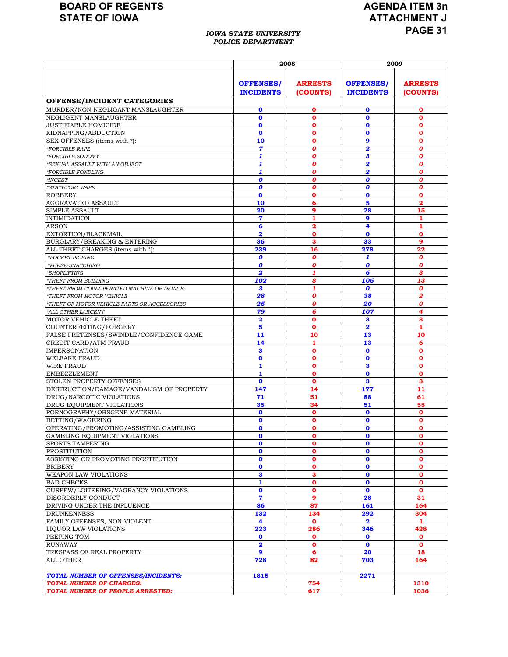#### *IOWA STATE UNIVERSITY POLICE DEPARTMENT*

# **AGENDA ITEM 3n ATTACHMENT J PAGE 31**

|                                                                      | 2008                                 |                            | 2009                                 |                            |  |  |
|----------------------------------------------------------------------|--------------------------------------|----------------------------|--------------------------------------|----------------------------|--|--|
|                                                                      | <b>OFFENSES/</b><br><b>INCIDENTS</b> | <b>ARRESTS</b><br>(COUNTS) | <b>OFFENSES/</b><br><b>INCIDENTS</b> | <b>ARRESTS</b><br>(COUNTS) |  |  |
| OFFENSE/INCIDENT CATEGORIES                                          |                                      |                            |                                      |                            |  |  |
| MURDER/NON-NEGLIGANT MANSLAUGHTER                                    | 0                                    | 0                          | $\mathbf 0$                          | 0                          |  |  |
| NEGLIGENT MANSLAUGHTER                                               | $\mathbf o$                          | O                          | $\mathbf 0$                          | 0                          |  |  |
| <b>JUSTIFIABLE HOMICIDE</b>                                          | $\mathbf{o}$                         | $\mathbf{o}$               | $\mathbf 0$                          | $\mathbf{o}$               |  |  |
| KIDNAPPING/ABDUCTION                                                 | $\mathbf o$                          | 0                          | $\mathbf 0$                          | $\mathbf o$                |  |  |
| SEX OFFENSES (items with *):                                         | 10                                   | o                          | 9                                    | $\mathbf o$                |  |  |
| <i><b>*FORCIBLE RAPE</b></i>                                         | $\overline{7}$                       | 0                          | $\overline{\mathbf{2}}$              | $\boldsymbol{o}$           |  |  |
| *FORCIBLE SODOMY                                                     | 1                                    | 0                          | 3                                    | 0                          |  |  |
| *SEXUAL ASSAULT WITH AN OBJECT                                       | 1                                    | 0                          | $\overline{\mathbf{2}}$              | 0                          |  |  |
| *FORCIBLE FONDLING                                                   | 1                                    | O                          | $\overline{\mathbf{2}}$              | O                          |  |  |
| $^*\!INCEST$                                                         | $\boldsymbol{o}$                     | O                          | $\boldsymbol{o}$                     | $\boldsymbol{o}$           |  |  |
| *STATUTORY RAPE                                                      | 0                                    | O                          | 0                                    | O                          |  |  |
| <b>ROBBERY</b>                                                       | $\mathbf{o}$                         | $\mathbf{o}$               | $\mathbf 0$                          | $\mathbf o$                |  |  |
| AGGRAVATED ASSAULT                                                   | 10                                   | 6                          | 5                                    | 2                          |  |  |
| SIMPLE ASSAULT                                                       | 20                                   | 9<br>1                     | 28                                   | 15<br>1                    |  |  |
| <b>INTIMIDATION</b><br>ARSON                                         | 7<br>6                               | 2                          | 9<br>4                               | 1                          |  |  |
| EXTORTION/BLACKMAIL                                                  | $\overline{\mathbf{2}}$              | O                          | $\mathbf{o}$                         | $\mathbf 0$                |  |  |
| BURGLARY/BREAKING & ENTERING                                         | 36                                   | з                          | 33                                   | 9                          |  |  |
| ALL THEFT CHARGES (items with *):                                    | 239                                  | 16                         | 278                                  | 22                         |  |  |
| *POCKET-PICKING                                                      | 0                                    | O                          | $\mathbf{1}$                         | 0                          |  |  |
| *PURSE-SNATCHING                                                     | 0                                    | 0                          | 0                                    | O                          |  |  |
| *SHOPLIFTING                                                         | $\overline{\mathbf{2}}$              | 1                          | 6                                    | 3                          |  |  |
| <i>*THEFT FROM BUILDING</i>                                          | 102                                  | 8                          | 106                                  | 13                         |  |  |
| *THEFT FROM COIN-OPERATED MACHINE OR DEVICE                          | 3                                    | 1                          | 0                                    | $\boldsymbol{0}$           |  |  |
| *THEFT FROM MOTOR VEHICLE                                            | 28                                   | 0                          | 38                                   | 2                          |  |  |
| *THEFT OF MOTOR VEHICLE PARTS OR ACCESSORIES                         | 25                                   | O                          | 20                                   | 0                          |  |  |
| *ALL OTHER LARCENY                                                   | 79                                   | б                          | 107                                  | 4                          |  |  |
| MOTOR VEHICLE THEFT                                                  | $\overline{2}$                       | $\mathbf{o}$               | 3                                    | 3                          |  |  |
| COUNTERFEITING/FORGERY                                               | 5                                    | O                          | $\overline{\mathbf{2}}$              | 1                          |  |  |
| FALSE PRETENSES/SWINDLE/CONFIDENCE GAME                              | 11                                   | 10                         | 13                                   | 10                         |  |  |
| CREDIT CARD/ATM FRAUD                                                | 14                                   | 1                          | 13                                   | 6                          |  |  |
| <b>IMPERSONATION</b>                                                 | 3                                    | O                          | $\mathbf 0$                          | $\mathbf o$                |  |  |
| <b>WELFARE FRAUD</b>                                                 | $\mathbf{o}$                         | О                          | $\mathbf o$                          | $\mathbf 0$                |  |  |
| WIRE FRAUD                                                           | 1                                    | 0                          | 3                                    | $\mathbf o$                |  |  |
| <b>EMBEZZLEMENT</b>                                                  | 1                                    | $\mathbf o$                | $\mathbf{o}$                         | $\mathbf o$                |  |  |
| STOLEN PROPERTY OFFENSES                                             | $\mathbf{o}$<br>147                  | O<br>14                    | 3<br>177                             | 3<br>11                    |  |  |
| DESTRUCTION/DAMAGE/VANDALISM OF PROPERTY<br>DRUG/NARCOTIC VIOLATIONS | 71                                   | 51                         | 88                                   | 61                         |  |  |
| DRUG EQUIPMENT VIOLATIONS                                            | 35                                   | 34                         | 51                                   | 55                         |  |  |
| PORNOGRAPHY/OBSCENE MATERIAL                                         | $\mathbf 0$                          | $\mathbf o$                | $\mathbf 0$                          | $\mathbf{o}$               |  |  |
| BETTING/WAGERING                                                     | $\mathbf 0$                          | 0                          | $\mathbf o$                          | 0                          |  |  |
| OPERATING/PROMOTING/ASSISTING GAMBLING                               | $\mathbf{o}$                         | o                          | $\mathbf o$                          | $\mathbf 0$                |  |  |
| GAMBLING EQUIPMENT VIOLATIONS                                        | $\mathbf o$                          | о                          | $\mathbf o$                          | 0                          |  |  |
| SPORTS TAMPERING                                                     | $\mathbf{o}$                         | $\mathbf o$                | $\mathbf 0$                          | $\mathbf 0$                |  |  |
| <b>PROSTITUTION</b>                                                  | $\mathbf{o}$                         | O                          | $\mathbf o$                          | $\mathbf{o}$               |  |  |
| ASSISTING OR PROMOTING PROSTITUTION                                  | $\mathbf o$                          | 0                          | $\mathbf 0$                          | $\mathbf o$                |  |  |
| <b>BRIBERY</b>                                                       | $\mathbf o$                          | 0                          | $\mathbf 0$                          | $\mathbf{o}$               |  |  |
| WEAPON LAW VIOLATIONS                                                | 3                                    | 3                          | $\mathbf 0$                          | $\mathbf 0$                |  |  |
| <b>BAD CHECKS</b>                                                    | $\mathbf{1}$                         | $\mathbf o$                | $\mathbf o$                          | $\mathbf{o}$               |  |  |
| CURFEW/LOITERING/VAGRANCY VIOLATIONS                                 | 0                                    | o                          | $\mathbf 0$                          | O                          |  |  |
| DISORDERLY CONDUCT                                                   | $\overline{\mathbf{z}}$              | 9                          | 28                                   | 31                         |  |  |
| DRIVING UNDER THE INFLUENCE                                          | 86                                   | 87                         | 161                                  | 164                        |  |  |
| <b>DRUNKENNESS</b>                                                   | 132                                  | 134                        | 292                                  | 304                        |  |  |
| FAMILY OFFENSES, NON-VIOLENT                                         | 4                                    | $\mathbf o$                | $\overline{\mathbf{2}}$              | 1                          |  |  |
| LIQUOR LAW VIOLATIONS                                                | 223                                  | 286                        | 346                                  | 428                        |  |  |
| PEEPING TOM                                                          | 0                                    | 0                          | $\mathbf 0$                          | $\mathbf{o}$               |  |  |
| <b>RUNAWAY</b>                                                       | $\overline{\mathbf{2}}$<br>9         | 0                          | $\mathbf 0$                          | $\mathbf{o}$               |  |  |
| TRESPASS OF REAL PROPERTY                                            | 728                                  | 6<br>82                    | 20                                   | 18<br>164                  |  |  |
| ALL OTHER                                                            |                                      |                            | 703                                  |                            |  |  |
| TOTAL NUMBER OF OFFENSES/INCIDENTS:                                  | 1815                                 |                            | 2271                                 |                            |  |  |
| <b>TOTAL NUMBER OF CHARGES:</b>                                      |                                      | 754                        |                                      | 1310                       |  |  |
| TOTAL NUMBER OF PEOPLE ARRESTED:                                     |                                      | 617                        |                                      | 1036                       |  |  |